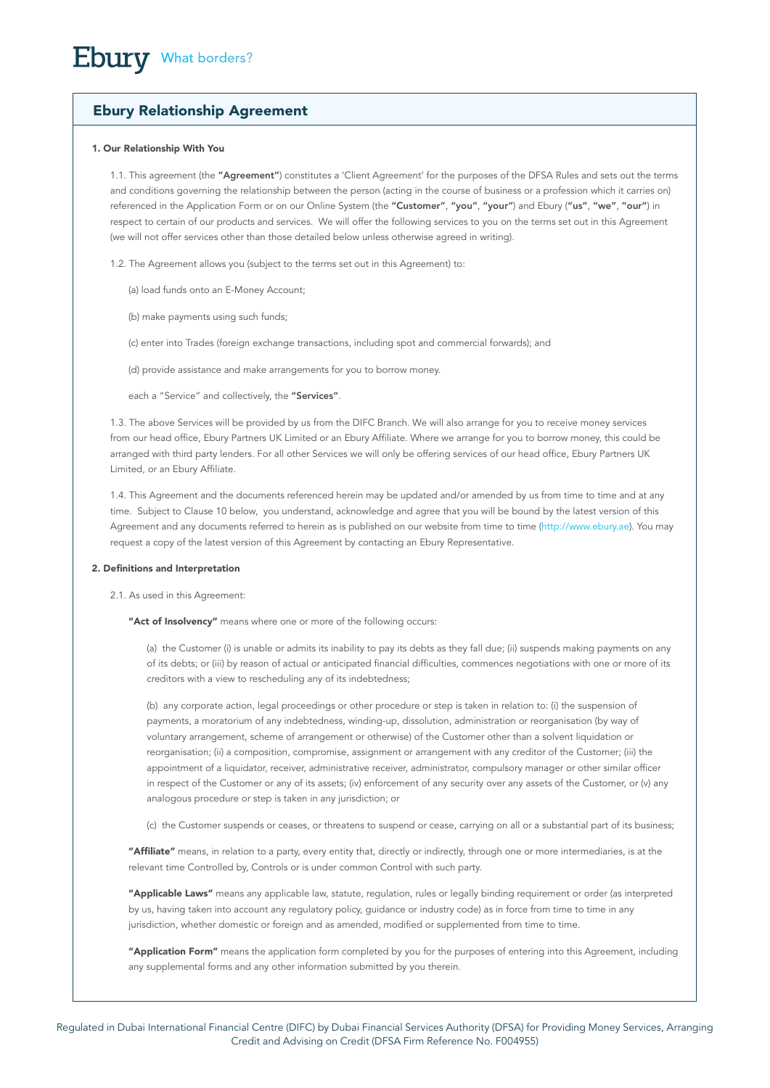# Ebury Relationship Agreement

# 1. Our Relationship With You

1.1. This agreement (the "Agreement") constitutes a 'Client Agreement' for the purposes of the DFSA Rules and sets out the terms and conditions governing the relationship between the person (acting in the course of business or a profession which it carries on) referenced in the Application Form or on our Online System (the "Customer", "you", "your") and Ebury ("us", "we", "our") in respect to certain of our products and services. We will offer the following services to you on the terms set out in this Agreement (we will not offer services other than those detailed below unless otherwise agreed in writing).

1.2. The Agreement allows you (subject to the terms set out in this Agreement) to:

(a) load funds onto an E-Money Account;

(b) make payments using such funds;

(c) enter into Trades (foreign exchange transactions, including spot and commercial forwards); and

(d) provide assistance and make arrangements for you to borrow money.

each a "Service" and collectively, the "Services".

1.3. The above Services will be provided by us from the DIFC Branch. We will also arrange for you to receive money services from our head office, Ebury Partners UK Limited or an Ebury Affiliate. Where we arrange for you to borrow money, this could be arranged with third party lenders. For all other Services we will only be offering services of our head office, Ebury Partners UK Limited, or an Ebury Affiliate.

1.4. This Agreement and the documents referenced herein may be updated and/or amended by us from time to time and at any time. Subject to Clause 10 below, you understand, acknowledge and agree that you will be bound by the latest version of this Agreement and any documents referred to herein as is published on our website from time to time ([http://www.ebury.ae\)](http://www.ebury.ae). You may request a copy of the latest version of this Agreement by contacting an Ebury Representative.

### 2. Definitions and Interpretation

2.1. As used in this Agreement:

"Act of Insolvency" means where one or more of the following occurs:

(a) the Customer (i) is unable or admits its inability to pay its debts as they fall due; (ii) suspends making payments on any of its debts; or (iii) by reason of actual or anticipated financial difficulties, commences negotiations with one or more of its creditors with a view to rescheduling any of its indebtedness;

(b) any corporate action, legal proceedings or other procedure or step is taken in relation to: (i) the suspension of payments, a moratorium of any indebtedness, winding-up, dissolution, administration or reorganisation (by way of voluntary arrangement, scheme of arrangement or otherwise) of the Customer other than a solvent liquidation or reorganisation; (ii) a composition, compromise, assignment or arrangement with any creditor of the Customer; (iii) the appointment of a liquidator, receiver, administrative receiver, administrator, compulsory manager or other similar officer in respect of the Customer or any of its assets; (iv) enforcement of any security over any assets of the Customer, or (v) any analogous procedure or step is taken in any jurisdiction; or

(c) the Customer suspends or ceases, or threatens to suspend or cease, carrying on all or a substantial part of its business;

"Affiliate" means, in relation to a party, every entity that, directly or indirectly, through one or more intermediaries, is at the relevant time Controlled by, Controls or is under common Control with such party.

"Applicable Laws" means any applicable law, statute, regulation, rules or legally binding requirement or order (as interpreted by us, having taken into account any regulatory policy, guidance or industry code) as in force from time to time in any jurisdiction, whether domestic or foreign and as amended, modified or supplemented from time to time.

"Application Form" means the application form completed by you for the purposes of entering into this Agreement, including any supplemental forms and any other information submitted by you therein.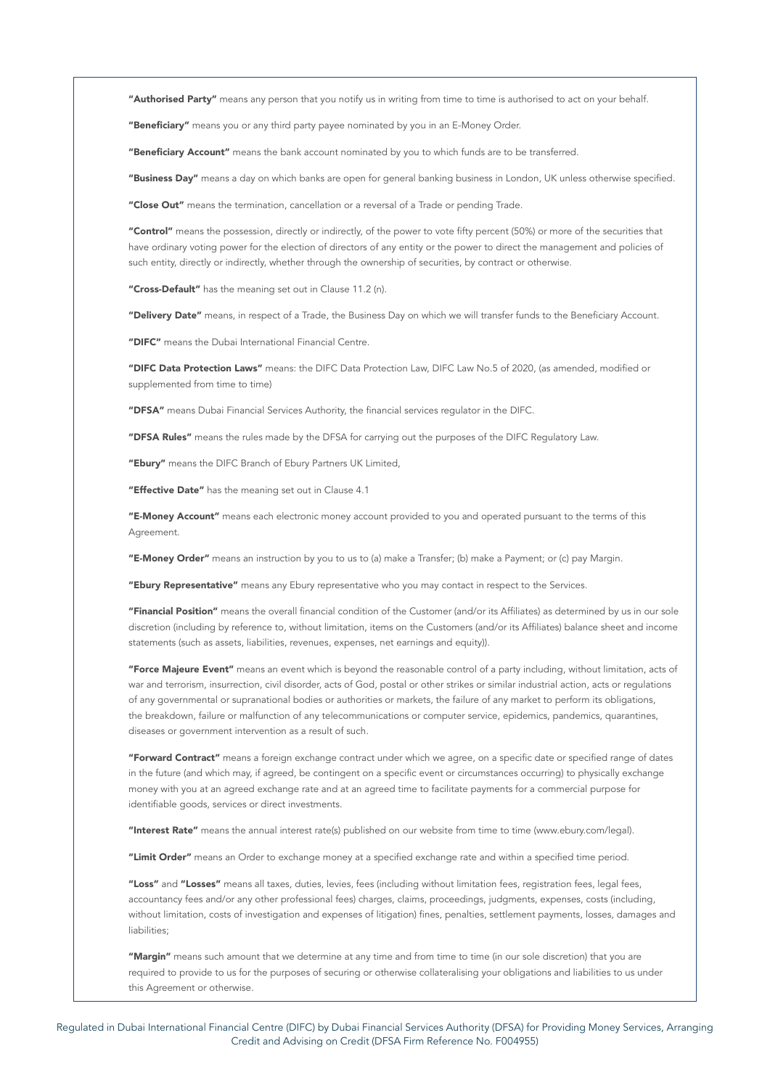"Authorised Party" means any person that you notify us in writing from time to time is authorised to act on your behalf.

"Beneficiary" means you or any third party payee nominated by you in an E-Money Order.

"Beneficiary Account" means the bank account nominated by you to which funds are to be transferred.

"Business Day" means a day on which banks are open for general banking business in London, UK unless otherwise specified.

"Close Out" means the termination, cancellation or a reversal of a Trade or pending Trade.

"Control" means the possession, directly or indirectly, of the power to vote fifty percent (50%) or more of the securities that have ordinary voting power for the election of directors of any entity or the power to direct the management and policies of such entity, directly or indirectly, whether through the ownership of securities, by contract or otherwise.

"Cross-Default" has the meaning set out in Clause 11.2 (n).

"Delivery Date" means, in respect of a Trade, the Business Day on which we will transfer funds to the Beneficiary Account.

"DIFC" means the Dubai International Financial Centre.

"DIFC Data Protection Laws" means: the DIFC Data Protection Law, DIFC Law No.5 of 2020, (as amended, modified or supplemented from time to time)

"DFSA" means Dubai Financial Services Authority, the financial services regulator in the DIFC.

"DFSA Rules" means the rules made by the DFSA for carrying out the purposes of the DIFC Regulatory Law.

"Ebury" means the DIFC Branch of Ebury Partners UK Limited,

"Effective Date" has the meaning set out in Clause 4.1

"E-Money Account" means each electronic money account provided to you and operated pursuant to the terms of this Agreement.

"E-Money Order" means an instruction by you to us to (a) make a Transfer; (b) make a Payment; or (c) pay Margin.

"Ebury Representative" means any Ebury representative who you may contact in respect to the Services.

"Financial Position" means the overall financial condition of the Customer (and/or its Affiliates) as determined by us in our sole discretion (including by reference to, without limitation, items on the Customers (and/or its Affiliates) balance sheet and income statements (such as assets, liabilities, revenues, expenses, net earnings and equity)).

"Force Majeure Event" means an event which is beyond the reasonable control of a party including, without limitation, acts of war and terrorism, insurrection, civil disorder, acts of God, postal or other strikes or similar industrial action, acts or regulations of any governmental or supranational bodies or authorities or markets, the failure of any market to perform its obligations, the breakdown, failure or malfunction of any telecommunications or computer service, epidemics, pandemics, quarantines, diseases or government intervention as a result of such.

"Forward Contract" means a foreign exchange contract under which we agree, on a specific date or specified range of dates in the future (and which may, if agreed, be contingent on a specific event or circumstances occurring) to physically exchange money with you at an agreed exchange rate and at an agreed time to facilitate payments for a commercial purpose for identifiable goods, services or direct investments.

"Interest Rate" means the annual interest rate(s) published on our website from time to time (www.ebury.com/legal).

"Limit Order" means an Order to exchange money at a specified exchange rate and within a specified time period.

"Loss" and "Losses" means all taxes, duties, levies, fees (including without limitation fees, registration fees, legal fees, accountancy fees and/or any other professional fees) charges, claims, proceedings, judgments, expenses, costs (including, without limitation, costs of investigation and expenses of litigation) fines, penalties, settlement payments, losses, damages and liabilities<sup>.</sup>

"Margin" means such amount that we determine at any time and from time to time (in our sole discretion) that you are required to provide to us for the purposes of securing or otherwise collateralising your obligations and liabilities to us under this Agreement or otherwise.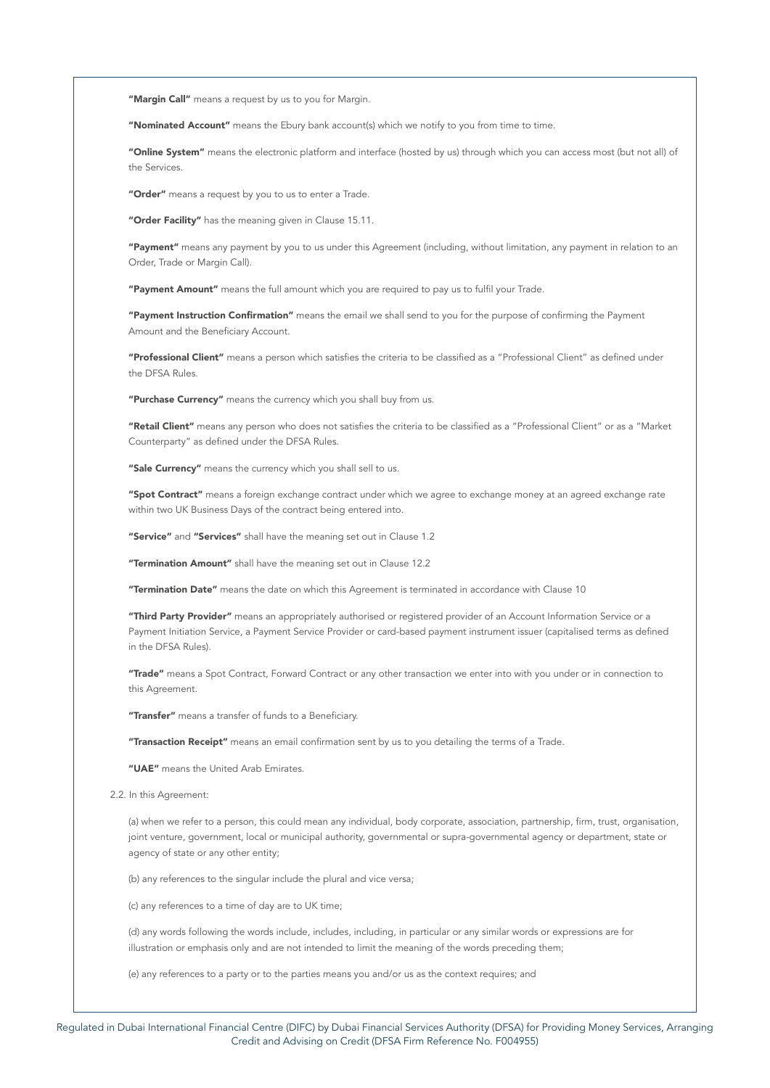"Margin Call" means a request by us to you for Margin.

"Nominated Account" means the Ebury bank account(s) which we notify to you from time to time.

"Online System" means the electronic platform and interface (hosted by us) through which you can access most (but not all) of the Services.

"Order" means a request by you to us to enter a Trade.

"Order Facility" has the meaning given in Clause 15.11.

"Payment" means any payment by you to us under this Agreement (including, without limitation, any payment in relation to an Order, Trade or Margin Call).

"Payment Amount" means the full amount which you are required to pay us to fulfil your Trade.

"Payment Instruction Confirmation" means the email we shall send to you for the purpose of confirming the Payment Amount and the Beneficiary Account.

"Professional Client" means a person which satisfies the criteria to be classified as a "Professional Client" as defined under the DFSA Rules.

"Purchase Currency" means the currency which you shall buy from us.

"Retail Client" means any person who does not satisfies the criteria to be classified as a "Professional Client" or as a "Market Counterparty" as defined under the DFSA Rules.

"Sale Currency" means the currency which you shall sell to us.

"Spot Contract" means a foreign exchange contract under which we agree to exchange money at an agreed exchange rate within two UK Business Days of the contract being entered into.

"Service" and "Services" shall have the meaning set out in Clause 1.2

"Termination Amount" shall have the meaning set out in Clause 12.2

"Termination Date" means the date on which this Agreement is terminated in accordance with Clause 10

"Third Party Provider" means an appropriately authorised or registered provider of an Account Information Service or a Payment Initiation Service, a Payment Service Provider or card-based payment instrument issuer (capitalised terms as defined in the DFSA Rules).

"Trade" means a Spot Contract, Forward Contract or any other transaction we enter into with you under or in connection to this Agreement.

"Transfer" means a transfer of funds to a Beneficiary.

"Transaction Receipt" means an email confirmation sent by us to you detailing the terms of a Trade.

"UAE" means the United Arab Emirates.

2.2. In this Agreement:

(a) when we refer to a person, this could mean any individual, body corporate, association, partnership, firm, trust, organisation, joint venture, government, local or municipal authority, governmental or supra-governmental agency or department, state or agency of state or any other entity;

(b) any references to the singular include the plural and vice versa;

(c) any references to a time of day are to UK time;

(d) any words following the words include, includes, including, in particular or any similar words or expressions are for illustration or emphasis only and are not intended to limit the meaning of the words preceding them;

(e) any references to a party or to the parties means you and/or us as the context requires; and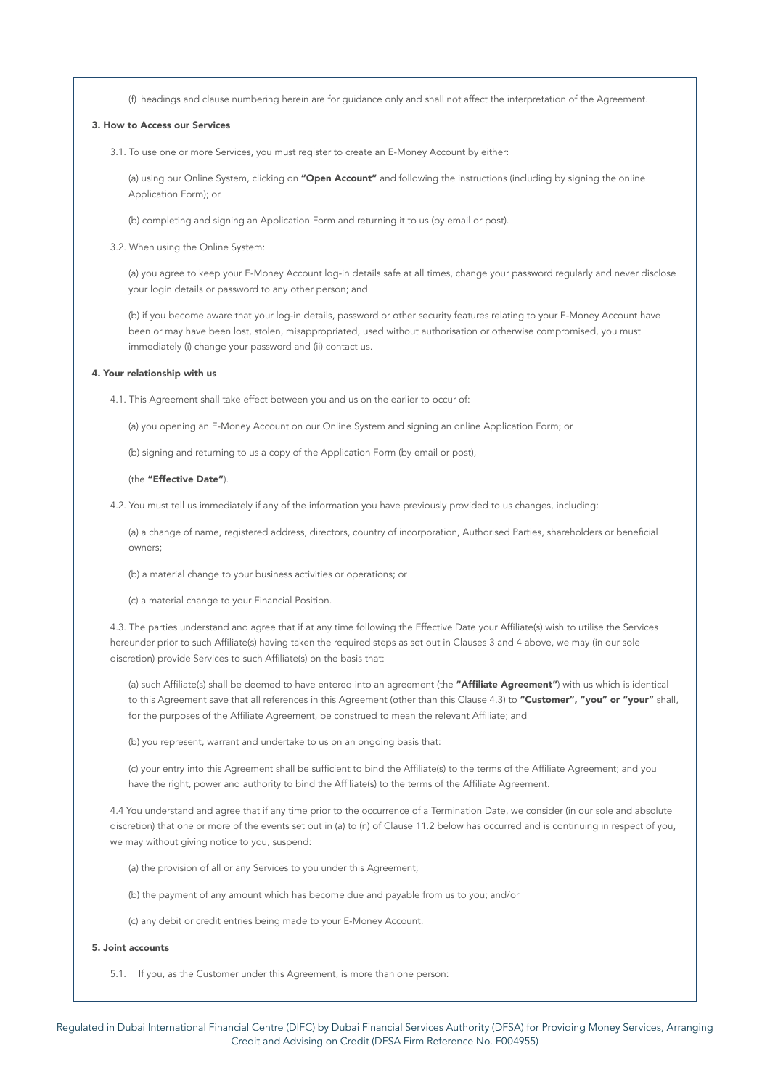(f) headings and clause numbering herein are for guidance only and shall not affect the interpretation of the Agreement.

## 3. How to Access our Services

3.1. To use one or more Services, you must register to create an E-Money Account by either:

(a) using our Online System, clicking on "Open Account" and following the instructions (including by signing the online Application Form); or

(b) completing and signing an Application Form and returning it to us (by email or post).

3.2. When using the Online System:

(a) you agree to keep your E-Money Account log-in details safe at all times, change your password regularly and never disclose your login details or password to any other person; and

(b) if you become aware that your log-in details, password or other security features relating to your E-Money Account have been or may have been lost, stolen, misappropriated, used without authorisation or otherwise compromised, you must immediately (i) change your password and (ii) contact us.

# 4. Your relationship with us

4.1. This Agreement shall take effect between you and us on the earlier to occur of:

(a) you opening an E-Money Account on our Online System and signing an online Application Form; or

(b) signing and returning to us a copy of the Application Form (by email or post),

### (the "Effective Date").

4.2. You must tell us immediately if any of the information you have previously provided to us changes, including:

(a) a change of name, registered address, directors, country of incorporation, Authorised Parties, shareholders or beneficial owners;

(b) a material change to your business activities or operations; or

(c) a material change to your Financial Position.

4.3. The parties understand and agree that if at any time following the Effective Date your Affiliate(s) wish to utilise the Services hereunder prior to such Affiliate(s) having taken the required steps as set out in Clauses 3 and 4 above, we may (in our sole discretion) provide Services to such Affiliate(s) on the basis that:

(a) such Affiliate(s) shall be deemed to have entered into an agreement (the "Affiliate Agreement") with us which is identical to this Agreement save that all references in this Agreement (other than this Clause 4.3) to "Customer", "you" or "your" shall, for the purposes of the Affiliate Agreement, be construed to mean the relevant Affiliate; and

(b) you represent, warrant and undertake to us on an ongoing basis that:

(c) your entry into this Agreement shall be sufficient to bind the Affiliate(s) to the terms of the Affiliate Agreement; and you have the right, power and authority to bind the Affiliate(s) to the terms of the Affiliate Agreement.

4.4 You understand and agree that if any time prior to the occurrence of a Termination Date, we consider (in our sole and absolute discretion) that one or more of the events set out in (a) to (n) of Clause 11.2 below has occurred and is continuing in respect of you, we may without giving notice to you, suspend:

(a) the provision of all or any Services to you under this Agreement;

(b) the payment of any amount which has become due and payable from us to you; and/or

(c) any debit or credit entries being made to your E-Money Account.

## 5. Joint accounts

5.1. If you, as the Customer under this Agreement, is more than one person: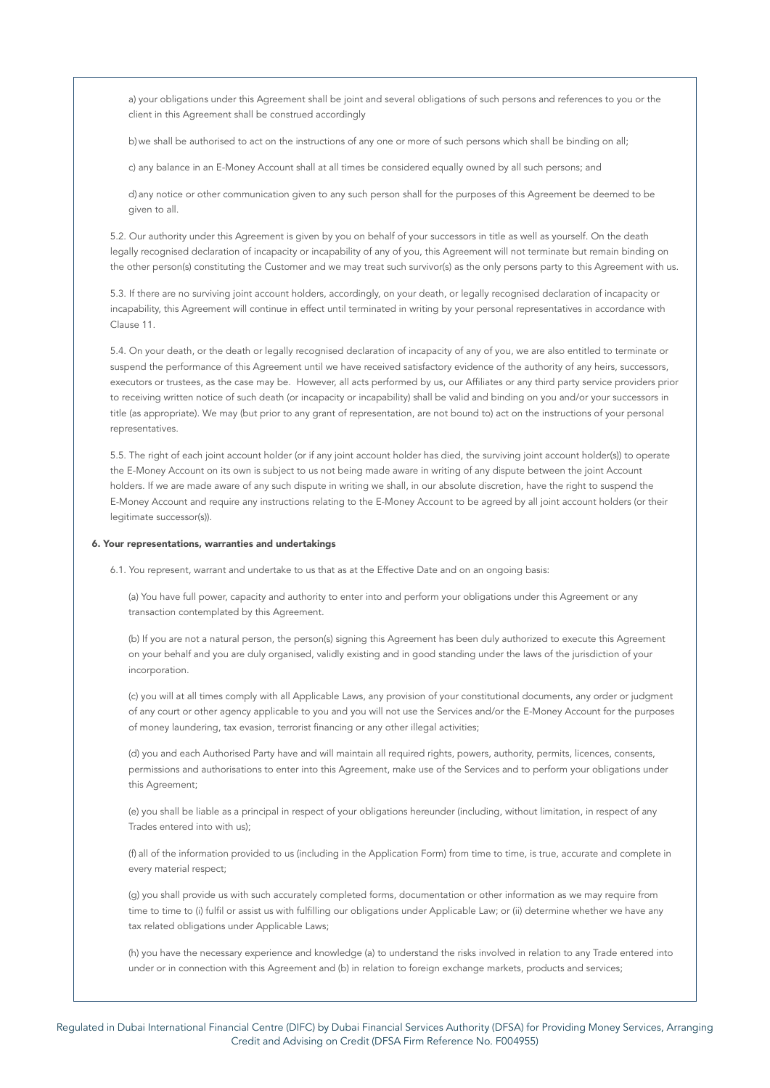a) your obligations under this Agreement shall be joint and several obligations of such persons and references to you or the client in this Agreement shall be construed accordingly

b) we shall be authorised to act on the instructions of any one or more of such persons which shall be binding on all;

c) any balance in an E-Money Account shall at all times be considered equally owned by all such persons; and

d) any notice or other communication given to any such person shall for the purposes of this Agreement be deemed to be given to all.

5.2. Our authority under this Agreement is given by you on behalf of your successors in title as well as yourself. On the death legally recognised declaration of incapacity or incapability of any of you, this Agreement will not terminate but remain binding on the other person(s) constituting the Customer and we may treat such survivor(s) as the only persons party to this Agreement with us.

5.3. If there are no surviving joint account holders, accordingly, on your death, or legally recognised declaration of incapacity or incapability, this Agreement will continue in effect until terminated in writing by your personal representatives in accordance with Clause 11.

5.4. On your death, or the death or legally recognised declaration of incapacity of any of you, we are also entitled to terminate or suspend the performance of this Agreement until we have received satisfactory evidence of the authority of any heirs, successors, executors or trustees, as the case may be. However, all acts performed by us, our Affiliates or any third party service providers prior to receiving written notice of such death (or incapacity or incapability) shall be valid and binding on you and/or your successors in title (as appropriate). We may (but prior to any grant of representation, are not bound to) act on the instructions of your personal representatives.

5.5. The right of each joint account holder (or if any joint account holder has died, the surviving joint account holder(s)) to operate the E-Money Account on its own is subject to us not being made aware in writing of any dispute between the joint Account holders. If we are made aware of any such dispute in writing we shall, in our absolute discretion, have the right to suspend the E-Money Account and require any instructions relating to the E-Money Account to be agreed by all joint account holders (or their legitimate successor(s)).

# 6. Your representations, warranties and undertakings

6.1. You represent, warrant and undertake to us that as at the Effective Date and on an ongoing basis:

(a) You have full power, capacity and authority to enter into and perform your obligations under this Agreement or any transaction contemplated by this Agreement.

(b) If you are not a natural person, the person(s) signing this Agreement has been duly authorized to execute this Agreement on your behalf and you are duly organised, validly existing and in good standing under the laws of the jurisdiction of your incorporation.

(c) you will at all times comply with all Applicable Laws, any provision of your constitutional documents, any order or judgment of any court or other agency applicable to you and you will not use the Services and/or the E-Money Account for the purposes of money laundering, tax evasion, terrorist financing or any other illegal activities;

(d) you and each Authorised Party have and will maintain all required rights, powers, authority, permits, licences, consents, permissions and authorisations to enter into this Agreement, make use of the Services and to perform your obligations under this Agreement;

(e) you shall be liable as a principal in respect of your obligations hereunder (including, without limitation, in respect of any Trades entered into with us);

(f) all of the information provided to us (including in the Application Form) from time to time, is true, accurate and complete in every material respect;

(g) you shall provide us with such accurately completed forms, documentation or other information as we may require from time to time to (i) fulfil or assist us with fulfilling our obligations under Applicable Law; or (ii) determine whether we have any tax related obligations under Applicable Laws;

(h) you have the necessary experience and knowledge (a) to understand the risks involved in relation to any Trade entered into under or in connection with this Agreement and (b) in relation to foreign exchange markets, products and services;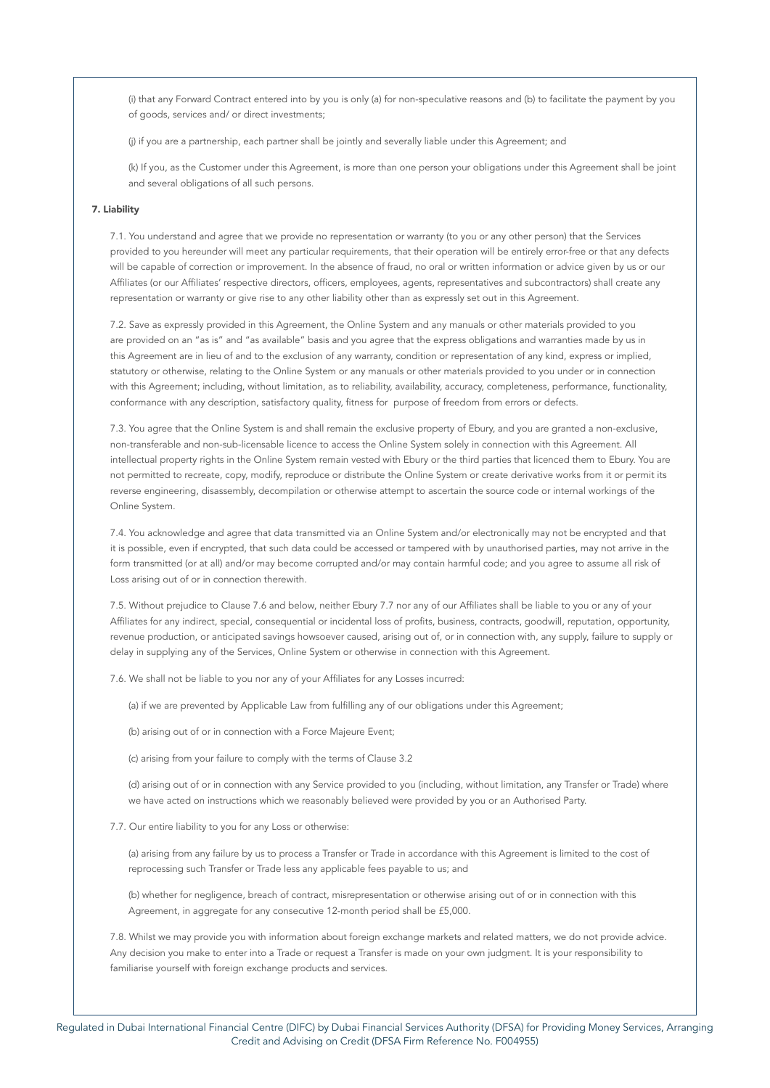(i) that any Forward Contract entered into by you is only (a) for non-speculative reasons and (b) to facilitate the payment by you of goods, services and/ or direct investments;

(j) if you are a partnership, each partner shall be jointly and severally liable under this Agreement; and

(k) If you, as the Customer under this Agreement, is more than one person your obligations under this Agreement shall be joint and several obligations of all such persons.

# 7. Liability

7.1. You understand and agree that we provide no representation or warranty (to you or any other person) that the Services provided to you hereunder will meet any particular requirements, that their operation will be entirely error-free or that any defects will be capable of correction or improvement. In the absence of fraud, no oral or written information or advice given by us or our Affiliates (or our Affiliates' respective directors, officers, employees, agents, representatives and subcontractors) shall create any representation or warranty or give rise to any other liability other than as expressly set out in this Agreement.

7.2. Save as expressly provided in this Agreement, the Online System and any manuals or other materials provided to you are provided on an "as is" and "as available" basis and you agree that the express obligations and warranties made by us in this Agreement are in lieu of and to the exclusion of any warranty, condition or representation of any kind, express or implied, statutory or otherwise, relating to the Online System or any manuals or other materials provided to you under or in connection with this Agreement; including, without limitation, as to reliability, availability, accuracy, completeness, performance, functionality, conformance with any description, satisfactory quality, fitness for purpose of freedom from errors or defects.

7.3. You agree that the Online System is and shall remain the exclusive property of Ebury, and you are granted a non-exclusive, non-transferable and non-sub-licensable licence to access the Online System solely in connection with this Agreement. All intellectual property rights in the Online System remain vested with Ebury or the third parties that licenced them to Ebury. You are not permitted to recreate, copy, modify, reproduce or distribute the Online System or create derivative works from it or permit its reverse engineering, disassembly, decompilation or otherwise attempt to ascertain the source code or internal workings of the Online System.

7.4. You acknowledge and agree that data transmitted via an Online System and/or electronically may not be encrypted and that it is possible, even if encrypted, that such data could be accessed or tampered with by unauthorised parties, may not arrive in the form transmitted (or at all) and/or may become corrupted and/or may contain harmful code; and you agree to assume all risk of Loss arising out of or in connection therewith.

7.5. Without prejudice to Clause 7.6 and below, neither Ebury 7.7 nor any of our Affiliates shall be liable to you or any of your Affiliates for any indirect, special, consequential or incidental loss of profits, business, contracts, goodwill, reputation, opportunity, revenue production, or anticipated savings howsoever caused, arising out of, or in connection with, any supply, failure to supply or delay in supplying any of the Services, Online System or otherwise in connection with this Agreement.

7.6. We shall not be liable to you nor any of your Affiliates for any Losses incurred:

(a) if we are prevented by Applicable Law from fulfilling any of our obligations under this Agreement;

(b) arising out of or in connection with a Force Majeure Event;

(c) arising from your failure to comply with the terms of Clause 3.2

(d) arising out of or in connection with any Service provided to you (including, without limitation, any Transfer or Trade) where we have acted on instructions which we reasonably believed were provided by you or an Authorised Party.

7.7. Our entire liability to you for any Loss or otherwise:

(a) arising from any failure by us to process a Transfer or Trade in accordance with this Agreement is limited to the cost of reprocessing such Transfer or Trade less any applicable fees payable to us; and

(b) whether for negligence, breach of contract, misrepresentation or otherwise arising out of or in connection with this Agreement, in aggregate for any consecutive 12-month period shall be £5,000.

7.8. Whilst we may provide you with information about foreign exchange markets and related matters, we do not provide advice. Any decision you make to enter into a Trade or request a Transfer is made on your own judgment. It is your responsibility to familiarise yourself with foreign exchange products and services.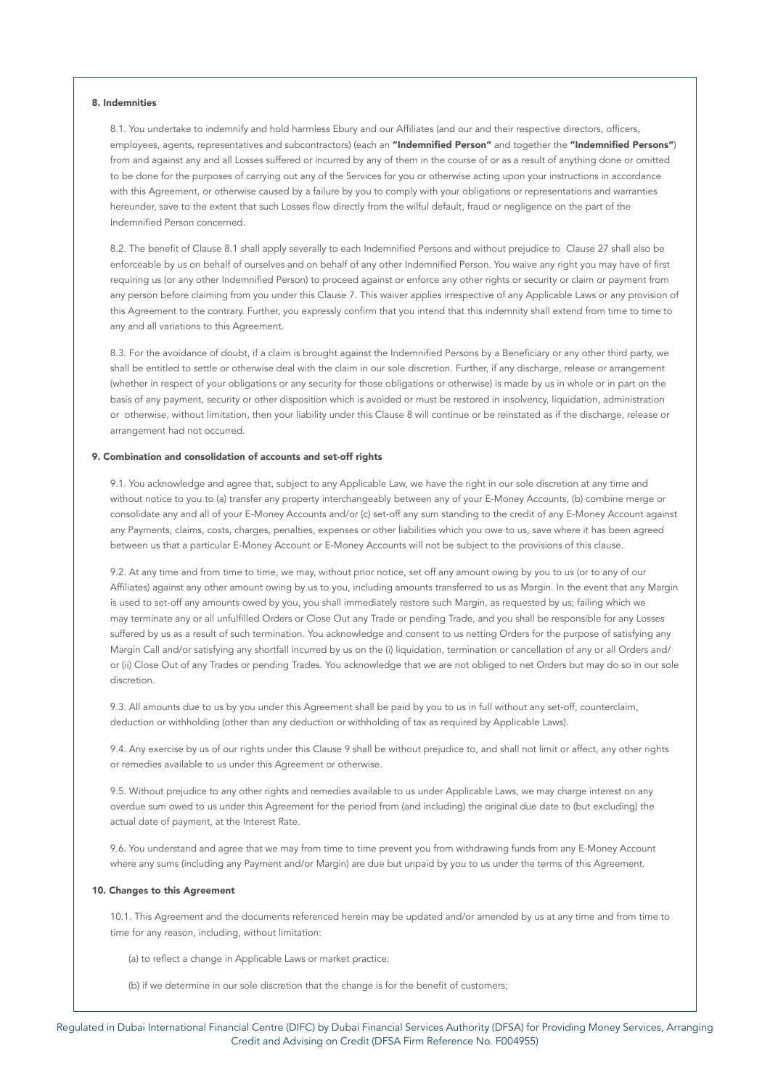### 8. Indemnities

8.1. You undertake to indemnify and hold harmless Ebury and our Affiliates (and our and their respective directors, officers, employees, agents, representatives and subcontractors) (each an "Indemnified Person" and together the "Indemnified Persons") from and against any and all Losses suffered or incurred by any of them in the course of or as a result of anything done or omitted to be done for the purposes of carrying out any of the Services for you or otherwise acting upon your instructions in accordance with this Agreement, or otherwise caused by a failure by you to comply with your obligations or representations and warranties hereunder, save to the extent that such Losses flow directly from the wilful default, fraud or negligence on the part of the Indemnified Person concerned.

8.2. The benefit of Clause 8.1 shall apply severally to each Indemnified Persons and without prejudice to Clause 27 shall also be enforceable by us on behalf of ourselves and on behalf of any other Indemnified Person. You waive any right you may have of first requiring us (or any other Indemnified Person) to proceed against or enforce any other rights or security or claim or payment from any person before claiming from you under this Clause 7. This waiver applies irrespective of any Applicable Laws or any provision of this Agreement to the contrary. Further, you expressly confirm that you intend that this indemnity shall extend from time to time to any and all variations to this Agreement.

8.3. For the avoidance of doubt, if a claim is brought against the Indemnified Persons by a Beneficiary or any other third party, we shall be entitled to settle or otherwise deal with the claim in our sole discretion. Further, if any discharge, release or arrangement (whether in respect of your obligations or any security for those obligations or otherwise) is made by us in whole or in part on the basis of any payment, security or other disposition which is avoided or must be restored in insolvency, liquidation, administration or otherwise, without limitation, then your liability under this Clause 8 will continue or be reinstated as if the discharge, release or arrangement had not occurred.

### 9. Combination and consolidation of accounts and set-off rights

9.1. You acknowledge and agree that, subject to any Applicable Law, we have the right in our sole discretion at any time and without notice to you to (a) transfer any property interchangeably between any of your E-Money Accounts, (b) combine merge or consolidate any and all of your E-Money Accounts and/or (c) set-off any sum standing to the credit of any E-Money Account against any Payments, claims, costs, charges, penalties, expenses or other liabilities which you owe to us, save where it has been agreed between us that a particular E-Money Account or E-Money Accounts will not be subject to the provisions of this clause.

9.2. At any time and from time to time, we may, without prior notice, set off any amount owing by you to us (or to any of our Affiliates) against any other amount owing by us to you, including amounts transferred to us as Margin. In the event that any Margin is used to set-off any amounts owed by you, you shall immediately restore such Margin, as requested by us; failing which we may terminate any or all unfulfilled Orders or Close Out any Trade or pending Trade, and you shall be responsible for any Losses suffered by us as a result of such termination. You acknowledge and consent to us netting Orders for the purpose of satisfying any Margin Call and/or satisfying any shortfall incurred by us on the (i) liquidation, termination or cancellation of any or all Orders and/ or (ii) Close Out of any Trades or pending Trades. You acknowledge that we are not obliged to net Orders but may do so in our sole discretion.

9.3. All amounts due to us by you under this Agreement shall be paid by you to us in full without any set-off, counterclaim, deduction or withholding (other than any deduction or withholding of tax as required by Applicable Laws).

9.4. Any exercise by us of our rights under this Clause 9 shall be without prejudice to, and shall not limit or affect, any other rights or remedies available to us under this Agreement or otherwise.

9.5. Without prejudice to any other rights and remedies available to us under Applicable Laws, we may charge interest on any overdue sum owed to us under this Agreement for the period from (and including) the original due date to (but excluding) the actual date of payment, at the Interest Rate.

9.6. You understand and agree that we may from time to time prevent you from withdrawing funds from any E-Money Account where any sums (including any Payment and/or Margin) are due but unpaid by you to us under the terms of this Agreement.

### 10. Changes to this Agreement

10.1. This Agreement and the documents referenced herein may be updated and/or amended by us at any time and from time to time for any reason, including, without limitation:

(a) to reflect a change in Applicable Laws or market practice;

(b) if we determine in our sole discretion that the change is for the benefit of customers;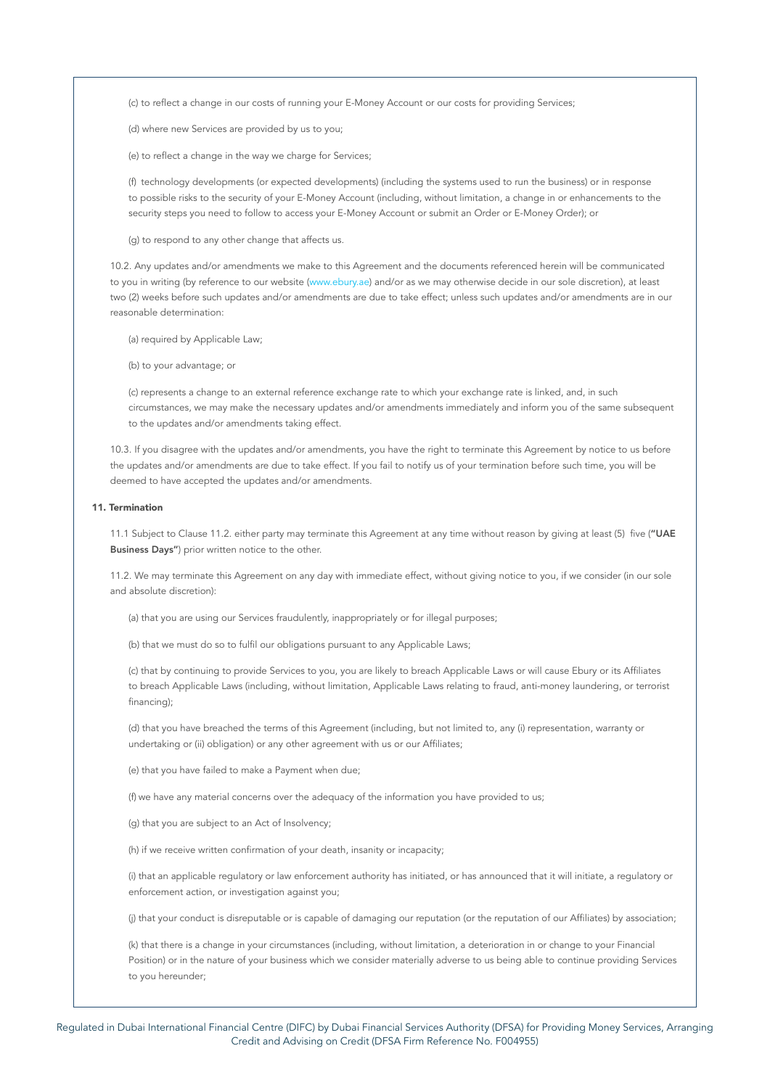(c) to reflect a change in our costs of running your E-Money Account or our costs for providing Services;

(d) where new Services are provided by us to you;

(e) to reflect a change in the way we charge for Services;

(f) technology developments (or expected developments) (including the systems used to run the business) or in response to possible risks to the security of your E-Money Account (including, without limitation, a change in or enhancements to the security steps you need to follow to access your E-Money Account or submit an Order or E-Money Order); or

(g) to respond to any other change that affects us.

10.2. Any updates and/or amendments we make to this Agreement and the documents referenced herein will be communicated to you in writing (by reference to our website [\(www.ebury.ae\)](http://www.ebury.ae) and/or as we may otherwise decide in our sole discretion), at least two (2) weeks before such updates and/or amendments are due to take effect; unless such updates and/or amendments are in our reasonable determination:

(a) required by Applicable Law;

(b) to your advantage; or

(c) represents a change to an external reference exchange rate to which your exchange rate is linked, and, in such circumstances, we may make the necessary updates and/or amendments immediately and inform you of the same subsequent to the updates and/or amendments taking effect.

10.3. If you disagree with the updates and/or amendments, you have the right to terminate this Agreement by notice to us before the updates and/or amendments are due to take effect. If you fail to notify us of your termination before such time, you will be deemed to have accepted the updates and/or amendments.

### 11. Termination

11.1 Subject to Clause 11.2. either party may terminate this Agreement at any time without reason by giving at least (5) five ("UAE Business Days") prior written notice to the other.

11.2. We may terminate this Agreement on any day with immediate effect, without giving notice to you, if we consider (in our sole and absolute discretion):

(a) that you are using our Services fraudulently, inappropriately or for illegal purposes;

(b) that we must do so to fulfil our obligations pursuant to any Applicable Laws;

(c) that by continuing to provide Services to you, you are likely to breach Applicable Laws or will cause Ebury or its Affiliates to breach Applicable Laws (including, without limitation, Applicable Laws relating to fraud, anti-money laundering, or terrorist financing);

(d) that you have breached the terms of this Agreement (including, but not limited to, any (i) representation, warranty or undertaking or (ii) obligation) or any other agreement with us or our Affiliates;

(e) that you have failed to make a Payment when due;

(f) we have any material concerns over the adequacy of the information you have provided to us;

(g) that you are subject to an Act of Insolvency;

(h) if we receive written confirmation of your death, insanity or incapacity;

(i) that an applicable regulatory or law enforcement authority has initiated, or has announced that it will initiate, a regulatory or enforcement action, or investigation against you;

(j) that your conduct is disreputable or is capable of damaging our reputation (or the reputation of our Affiliates) by association;

(k) that there is a change in your circumstances (including, without limitation, a deterioration in or change to your Financial Position) or in the nature of your business which we consider materially adverse to us being able to continue providing Services to you hereunder;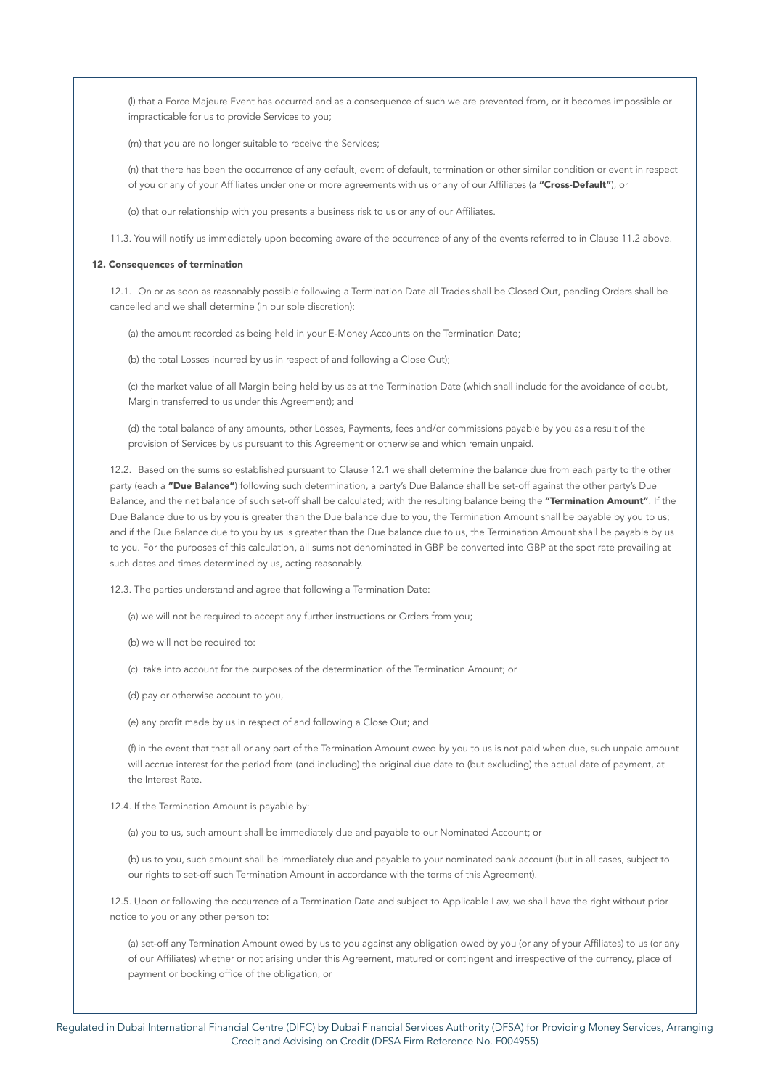(l) that a Force Majeure Event has occurred and as a consequence of such we are prevented from, or it becomes impossible or impracticable for us to provide Services to you;

(m) that you are no longer suitable to receive the Services;

(n) that there has been the occurrence of any default, event of default, termination or other similar condition or event in respect of you or any of your Affiliates under one or more agreements with us or any of our Affiliates (a "Cross-Default"); or

(o) that our relationship with you presents a business risk to us or any of our Affiliates.

11.3. You will notify us immediately upon becoming aware of the occurrence of any of the events referred to in Clause 11.2 above.

### 12. Consequences of termination

12.1. On or as soon as reasonably possible following a Termination Date all Trades shall be Closed Out, pending Orders shall be cancelled and we shall determine (in our sole discretion):

(a) the amount recorded as being held in your E-Money Accounts on the Termination Date;

(b) the total Losses incurred by us in respect of and following a Close Out);

(c) the market value of all Margin being held by us as at the Termination Date (which shall include for the avoidance of doubt, Margin transferred to us under this Agreement); and

(d) the total balance of any amounts, other Losses, Payments, fees and/or commissions payable by you as a result of the provision of Services by us pursuant to this Agreement or otherwise and which remain unpaid.

12.2. Based on the sums so established pursuant to Clause 12.1 we shall determine the balance due from each party to the other party (each a "Due Balance") following such determination, a party's Due Balance shall be set-off against the other party's Due Balance, and the net balance of such set-off shall be calculated; with the resulting balance being the "Termination Amount". If the Due Balance due to us by you is greater than the Due balance due to you, the Termination Amount shall be payable by you to us; and if the Due Balance due to you by us is greater than the Due balance due to us, the Termination Amount shall be payable by us to you. For the purposes of this calculation, all sums not denominated in GBP be converted into GBP at the spot rate prevailing at such dates and times determined by us, acting reasonably.

12.3. The parties understand and agree that following a Termination Date:

(a) we will not be required to accept any further instructions or Orders from you;

(b) we will not be required to:

(c) take into account for the purposes of the determination of the Termination Amount; or

(d) pay or otherwise account to you,

(e) any profit made by us in respect of and following a Close Out; and

(f) in the event that that all or any part of the Termination Amount owed by you to us is not paid when due, such unpaid amount will accrue interest for the period from (and including) the original due date to (but excluding) the actual date of payment, at the Interest Rate.

12.4. If the Termination Amount is payable by:

(a) you to us, such amount shall be immediately due and payable to our Nominated Account; or

(b) us to you, such amount shall be immediately due and payable to your nominated bank account (but in all cases, subject to our rights to set-off such Termination Amount in accordance with the terms of this Agreement).

12.5. Upon or following the occurrence of a Termination Date and subject to Applicable Law, we shall have the right without prior notice to you or any other person to:

(a) set-off any Termination Amount owed by us to you against any obligation owed by you (or any of your Affiliates) to us (or any of our Affiliates) whether or not arising under this Agreement, matured or contingent and irrespective of the currency, place of payment or booking office of the obligation, or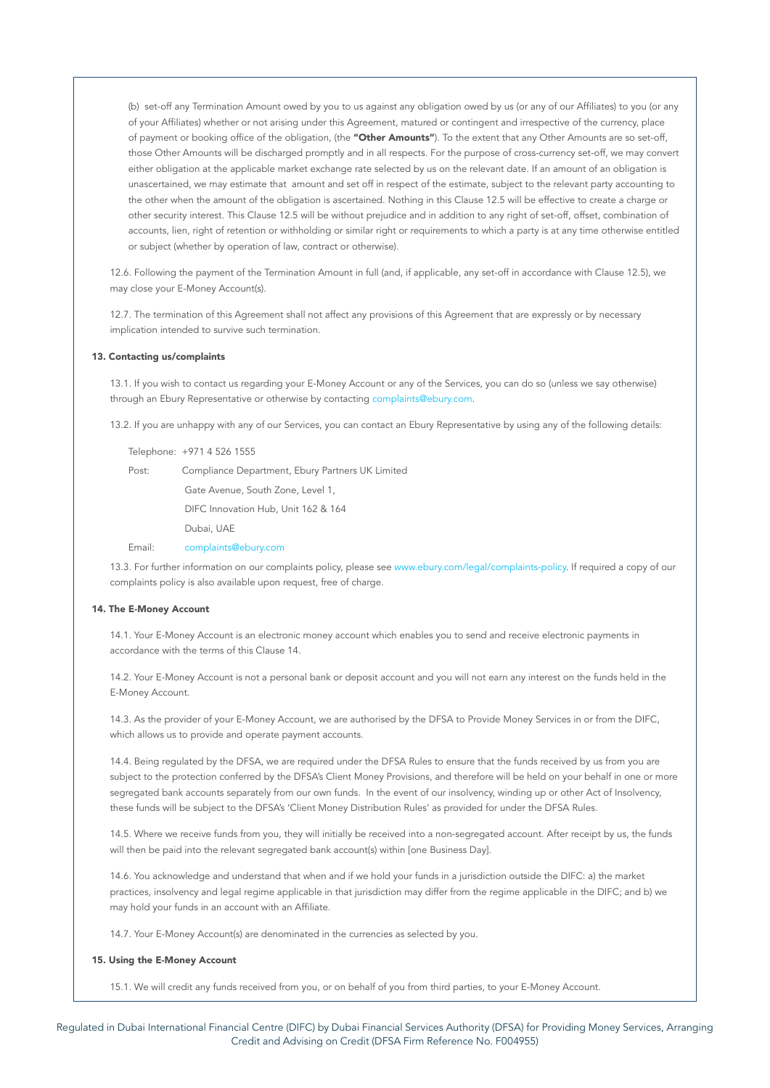(b) set-off any Termination Amount owed by you to us against any obligation owed by us (or any of our Affiliates) to you (or any of your Affiliates) whether or not arising under this Agreement, matured or contingent and irrespective of the currency, place of payment or booking office of the obligation, (the "Other Amounts"). To the extent that any Other Amounts are so set-off, those Other Amounts will be discharged promptly and in all respects. For the purpose of cross-currency set-off, we may convert either obligation at the applicable market exchange rate selected by us on the relevant date. If an amount of an obligation is unascertained, we may estimate that amount and set off in respect of the estimate, subject to the relevant party accounting to the other when the amount of the obligation is ascertained. Nothing in this Clause 12.5 will be effective to create a charge or other security interest. This Clause 12.5 will be without prejudice and in addition to any right of set-off, offset, combination of accounts, lien, right of retention or withholding or similar right or requirements to which a party is at any time otherwise entitled or subject (whether by operation of law, contract or otherwise).

12.6. Following the payment of the Termination Amount in full (and, if applicable, any set-off in accordance with Clause 12.5), we may close your E-Money Account(s).

12.7. The termination of this Agreement shall not affect any provisions of this Agreement that are expressly or by necessary implication intended to survive such termination.

## 13. Contacting us/complaints

13.1. If you wish to contact us regarding your E-Money Account or any of the Services, you can do so (unless we say otherwise) through an Ebury Representative or otherwise by contacting [complaints@ebury.com](http://complaints@ebury.com).

13.2. If you are unhappy with any of our Services, you can contact an Ebury Representative by using any of the following details:

Telephone: +971 4 526 1555

Post: Compliance Department, Ebury Partners UK Limited Gate Avenue, South Zone, Level 1, DIFC Innovation Hub, Unit 162 & 164 Dubai, UAE

Email: [complaints@ebury.com](http://complaints@ebury.com)

13.3. For further information on our complaints policy, please see [www.ebury.com/legal/complaints-policy.](http://www.ebury.com/legal/complaints-policy) If required a copy of our complaints policy is also available upon request, free of charge.

### 14. The E-Money Account

14.1. Your E-Money Account is an electronic money account which enables you to send and receive electronic payments in accordance with the terms of this Clause 14.

14.2. Your E-Money Account is not a personal bank or deposit account and you will not earn any interest on the funds held in the E-Money Account.

14.3. As the provider of your E-Money Account, we are authorised by the DFSA to Provide Money Services in or from the DIFC, which allows us to provide and operate payment accounts.

14.4. Being regulated by the DFSA, we are required under the DFSA Rules to ensure that the funds received by us from you are subject to the protection conferred by the DFSA's Client Money Provisions, and therefore will be held on your behalf in one or more segregated bank accounts separately from our own funds. In the event of our insolvency, winding up or other Act of Insolvency, these funds will be subject to the DFSA's 'Client Money Distribution Rules' as provided for under the DFSA Rules.

14.5. Where we receive funds from you, they will initially be received into a non-segregated account. After receipt by us, the funds will then be paid into the relevant segregated bank account(s) within [one Business Day].

14.6. You acknowledge and understand that when and if we hold your funds in a jurisdiction outside the DIFC: a) the market practices, insolvency and legal regime applicable in that jurisdiction may differ from the regime applicable in the DIFC; and b) we may hold your funds in an account with an Affiliate.

14.7. Your E-Money Account(s) are denominated in the currencies as selected by you.

### 15. Using the E-Money Account

15.1. We will credit any funds received from you, or on behalf of you from third parties, to your E-Money Account.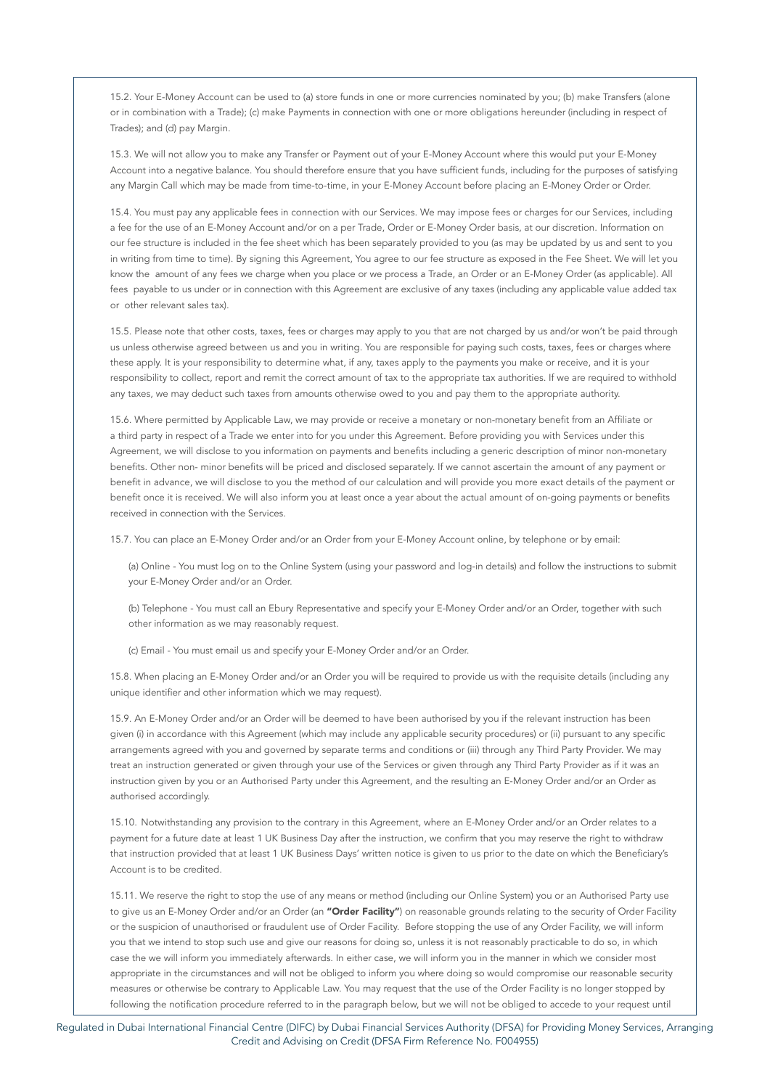15.2. Your E-Money Account can be used to (a) store funds in one or more currencies nominated by you; (b) make Transfers (alone or in combination with a Trade); (c) make Payments in connection with one or more obligations hereunder (including in respect of Trades); and (d) pay Margin.

15.3. We will not allow you to make any Transfer or Payment out of your E-Money Account where this would put your E-Money Account into a negative balance. You should therefore ensure that you have sufficient funds, including for the purposes of satisfying any Margin Call which may be made from time-to-time, in your E-Money Account before placing an E-Money Order or Order.

15.4. You must pay any applicable fees in connection with our Services. We may impose fees or charges for our Services, including a fee for the use of an E-Money Account and/or on a per Trade, Order or E-Money Order basis, at our discretion. Information on our fee structure is included in the fee sheet which has been separately provided to you (as may be updated by us and sent to you in writing from time to time). By signing this Agreement, You agree to our fee structure as exposed in the Fee Sheet. We will let you know the amount of any fees we charge when you place or we process a Trade, an Order or an E-Money Order (as applicable). All fees payable to us under or in connection with this Agreement are exclusive of any taxes (including any applicable value added tax or other relevant sales tax).

15.5. Please note that other costs, taxes, fees or charges may apply to you that are not charged by us and/or won't be paid through us unless otherwise agreed between us and you in writing. You are responsible for paying such costs, taxes, fees or charges where these apply. It is your responsibility to determine what, if any, taxes apply to the payments you make or receive, and it is your responsibility to collect, report and remit the correct amount of tax to the appropriate tax authorities. If we are required to withhold any taxes, we may deduct such taxes from amounts otherwise owed to you and pay them to the appropriate authority.

15.6. Where permitted by Applicable Law, we may provide or receive a monetary or non-monetary benefit from an Affiliate or a third party in respect of a Trade we enter into for you under this Agreement. Before providing you with Services under this Agreement, we will disclose to you information on payments and benefits including a generic description of minor non-monetary benefits. Other non- minor benefits will be priced and disclosed separately. If we cannot ascertain the amount of any payment or benefit in advance, we will disclose to you the method of our calculation and will provide you more exact details of the payment or benefit once it is received. We will also inform you at least once a year about the actual amount of on-going payments or benefits received in connection with the Services.

15.7. You can place an E-Money Order and/or an Order from your E-Money Account online, by telephone or by email:

(a) Online - You must log on to the Online System (using your password and log-in details) and follow the instructions to submit your E-Money Order and/or an Order.

(b) Telephone - You must call an Ebury Representative and specify your E-Money Order and/or an Order, together with such other information as we may reasonably request.

(c) Email - You must email us and specify your E-Money Order and/or an Order.

15.8. When placing an E-Money Order and/or an Order you will be required to provide us with the requisite details (including any unique identifier and other information which we may request).

15.9. An E-Money Order and/or an Order will be deemed to have been authorised by you if the relevant instruction has been given (i) in accordance with this Agreement (which may include any applicable security procedures) or (ii) pursuant to any specific arrangements agreed with you and governed by separate terms and conditions or (iii) through any Third Party Provider. We may treat an instruction generated or given through your use of the Services or given through any Third Party Provider as if it was an instruction given by you or an Authorised Party under this Agreement, and the resulting an E-Money Order and/or an Order as authorised accordingly.

15.10. Notwithstanding any provision to the contrary in this Agreement, where an E-Money Order and/or an Order relates to a payment for a future date at least 1 UK Business Day after the instruction, we confirm that you may reserve the right to withdraw that instruction provided that at least 1 UK Business Days' written notice is given to us prior to the date on which the Beneficiary's Account is to be credited.

15.11. We reserve the right to stop the use of any means or method (including our Online System) you or an Authorised Party use to give us an E-Money Order and/or an Order (an "Order Facility") on reasonable grounds relating to the security of Order Facility or the suspicion of unauthorised or fraudulent use of Order Facility. Before stopping the use of any Order Facility, we will inform you that we intend to stop such use and give our reasons for doing so, unless it is not reasonably practicable to do so, in which case the we will inform you immediately afterwards. In either case, we will inform you in the manner in which we consider most appropriate in the circumstances and will not be obliged to inform you where doing so would compromise our reasonable security measures or otherwise be contrary to Applicable Law. You may request that the use of the Order Facility is no longer stopped by following the notification procedure referred to in the paragraph below, but we will not be obliged to accede to your request until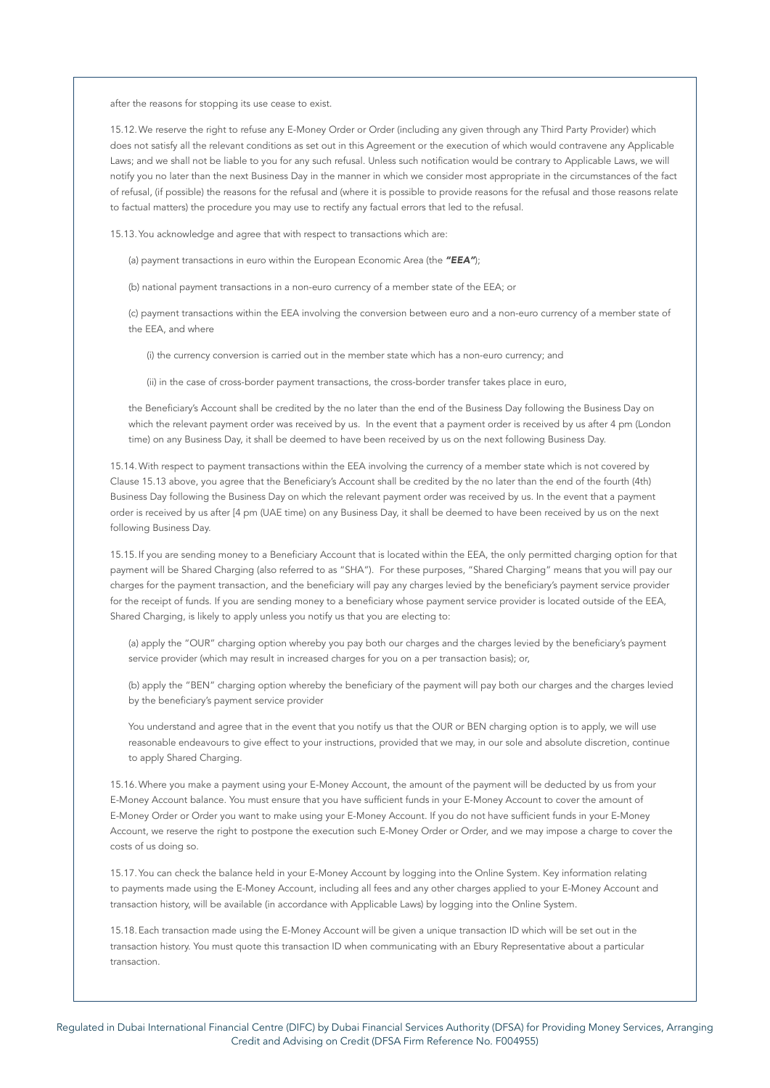after the reasons for stopping its use cease to exist.

15.12.We reserve the right to refuse any E-Money Order or Order (including any given through any Third Party Provider) which does not satisfy all the relevant conditions as set out in this Agreement or the execution of which would contravene any Applicable Laws; and we shall not be liable to you for any such refusal. Unless such notification would be contrary to Applicable Laws, we will notify you no later than the next Business Day in the manner in which we consider most appropriate in the circumstances of the fact of refusal, (if possible) the reasons for the refusal and (where it is possible to provide reasons for the refusal and those reasons relate to factual matters) the procedure you may use to rectify any factual errors that led to the refusal.

15.13.You acknowledge and agree that with respect to transactions which are:

(a) payment transactions in euro within the European Economic Area (the *"EEA"*);

(b) national payment transactions in a non-euro currency of a member state of the EEA; or

(c) payment transactions within the EEA involving the conversion between euro and a non-euro currency of a member state of the EEA, and where

(i) the currency conversion is carried out in the member state which has a non-euro currency; and

(ii) in the case of cross-border payment transactions, the cross-border transfer takes place in euro,

the Beneficiary's Account shall be credited by the no later than the end of the Business Day following the Business Day on which the relevant payment order was received by us. In the event that a payment order is received by us after 4 pm (London time) on any Business Day, it shall be deemed to have been received by us on the next following Business Day.

15.14.With respect to payment transactions within the EEA involving the currency of a member state which is not covered by Clause 15.13 above, you agree that the Beneficiary's Account shall be credited by the no later than the end of the fourth (4th) Business Day following the Business Day on which the relevant payment order was received by us. In the event that a payment order is received by us after [4 pm (UAE time) on any Business Day, it shall be deemed to have been received by us on the next following Business Day.

15.15.If you are sending money to a Beneficiary Account that is located within the EEA, the only permitted charging option for that payment will be Shared Charging (also referred to as "SHA"). For these purposes, "Shared Charging" means that you will pay our charges for the payment transaction, and the beneficiary will pay any charges levied by the beneficiary's payment service provider for the receipt of funds. If you are sending money to a beneficiary whose payment service provider is located outside of the EEA, Shared Charging, is likely to apply unless you notify us that you are electing to:

(a) apply the "OUR" charging option whereby you pay both our charges and the charges levied by the beneficiary's payment service provider (which may result in increased charges for you on a per transaction basis); or,

(b) apply the "BEN" charging option whereby the beneficiary of the payment will pay both our charges and the charges levied by the beneficiary's payment service provider

You understand and agree that in the event that you notify us that the OUR or BEN charging option is to apply, we will use reasonable endeavours to give effect to your instructions, provided that we may, in our sole and absolute discretion, continue to apply Shared Charging.

15.16.Where you make a payment using your E-Money Account, the amount of the payment will be deducted by us from your E-Money Account balance. You must ensure that you have sufficient funds in your E-Money Account to cover the amount of E-Money Order or Order you want to make using your E-Money Account. If you do not have sufficient funds in your E-Money Account, we reserve the right to postpone the execution such E-Money Order or Order, and we may impose a charge to cover the costs of us doing so.

15.17.You can check the balance held in your E-Money Account by logging into the Online System. Key information relating to payments made using the E-Money Account, including all fees and any other charges applied to your E-Money Account and transaction history, will be available (in accordance with Applicable Laws) by logging into the Online System.

15.18.Each transaction made using the E-Money Account will be given a unique transaction ID which will be set out in the transaction history. You must quote this transaction ID when communicating with an Ebury Representative about a particular transaction.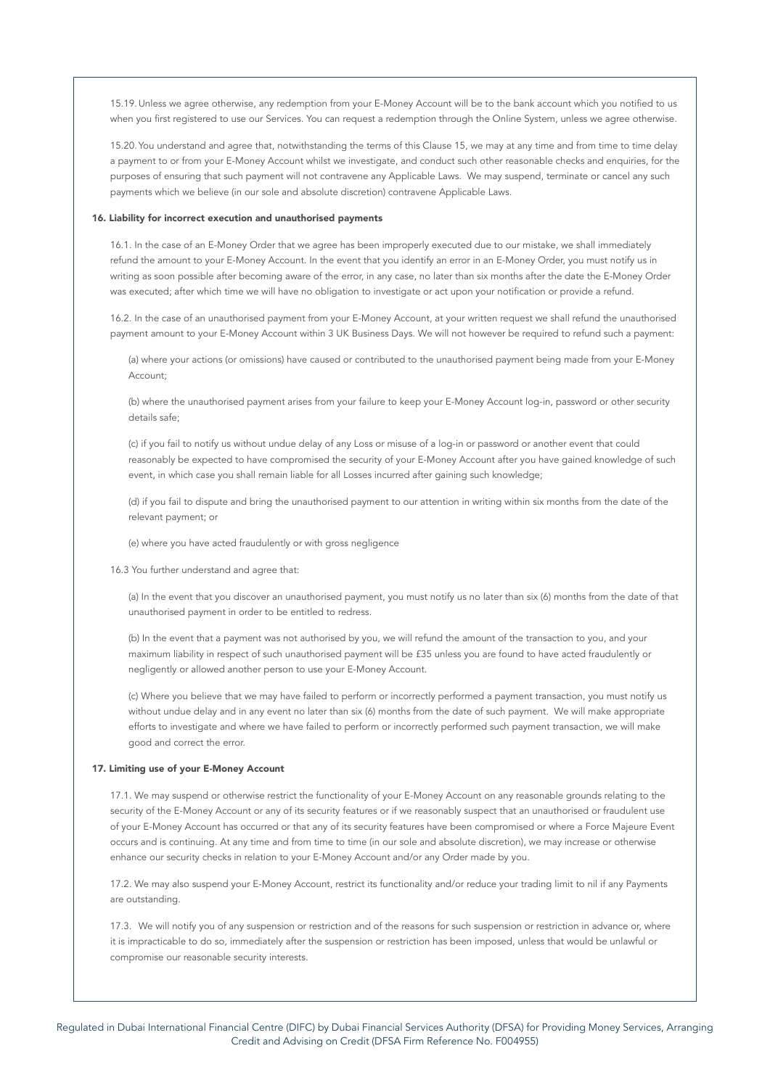15.19.Unless we agree otherwise, any redemption from your E-Money Account will be to the bank account which you notified to us when you first registered to use our Services. You can request a redemption through the Online System, unless we agree otherwise.

15.20.You understand and agree that, notwithstanding the terms of this Clause 15, we may at any time and from time to time delay a payment to or from your E-Money Account whilst we investigate, and conduct such other reasonable checks and enquiries, for the purposes of ensuring that such payment will not contravene any Applicable Laws. We may suspend, terminate or cancel any such payments which we believe (in our sole and absolute discretion) contravene Applicable Laws.

# 16. Liability for incorrect execution and unauthorised payments

16.1. In the case of an E-Money Order that we agree has been improperly executed due to our mistake, we shall immediately refund the amount to your E-Money Account. In the event that you identify an error in an E-Money Order, you must notify us in writing as soon possible after becoming aware of the error, in any case, no later than six months after the date the E-Money Order was executed; after which time we will have no obligation to investigate or act upon your notification or provide a refund.

16.2. In the case of an unauthorised payment from your E-Money Account, at your written request we shall refund the unauthorised payment amount to your E-Money Account within 3 UK Business Days. We will not however be required to refund such a payment:

(a) where your actions (or omissions) have caused or contributed to the unauthorised payment being made from your E-Money Account;

(b) where the unauthorised payment arises from your failure to keep your E-Money Account log-in, password or other security details safe;

(c) if you fail to notify us without undue delay of any Loss or misuse of a log-in or password or another event that could reasonably be expected to have compromised the security of your E-Money Account after you have gained knowledge of such event, in which case you shall remain liable for all Losses incurred after gaining such knowledge;

(d) if you fail to dispute and bring the unauthorised payment to our attention in writing within six months from the date of the relevant payment; or

(e) where you have acted fraudulently or with gross negligence

16.3 You further understand and agree that:

(a) In the event that you discover an unauthorised payment, you must notify us no later than six (6) months from the date of that unauthorised payment in order to be entitled to redress.

(b) In the event that a payment was not authorised by you, we will refund the amount of the transaction to you, and your maximum liability in respect of such unauthorised payment will be £35 unless you are found to have acted fraudulently or negligently or allowed another person to use your E-Money Account.

(c) Where you believe that we may have failed to perform or incorrectly performed a payment transaction, you must notify us without undue delay and in any event no later than six (6) months from the date of such payment. We will make appropriate efforts to investigate and where we have failed to perform or incorrectly performed such payment transaction, we will make good and correct the error.

# 17. Limiting use of your E-Money Account

17.1. We may suspend or otherwise restrict the functionality of your E-Money Account on any reasonable grounds relating to the security of the E-Money Account or any of its security features or if we reasonably suspect that an unauthorised or fraudulent use of your E-Money Account has occurred or that any of its security features have been compromised or where a Force Majeure Event occurs and is continuing. At any time and from time to time (in our sole and absolute discretion), we may increase or otherwise enhance our security checks in relation to your E-Money Account and/or any Order made by you.

17.2. We may also suspend your E-Money Account, restrict its functionality and/or reduce your trading limit to nil if any Payments are outstanding.

17.3. We will notify you of any suspension or restriction and of the reasons for such suspension or restriction in advance or, where it is impracticable to do so, immediately after the suspension or restriction has been imposed, unless that would be unlawful or compromise our reasonable security interests.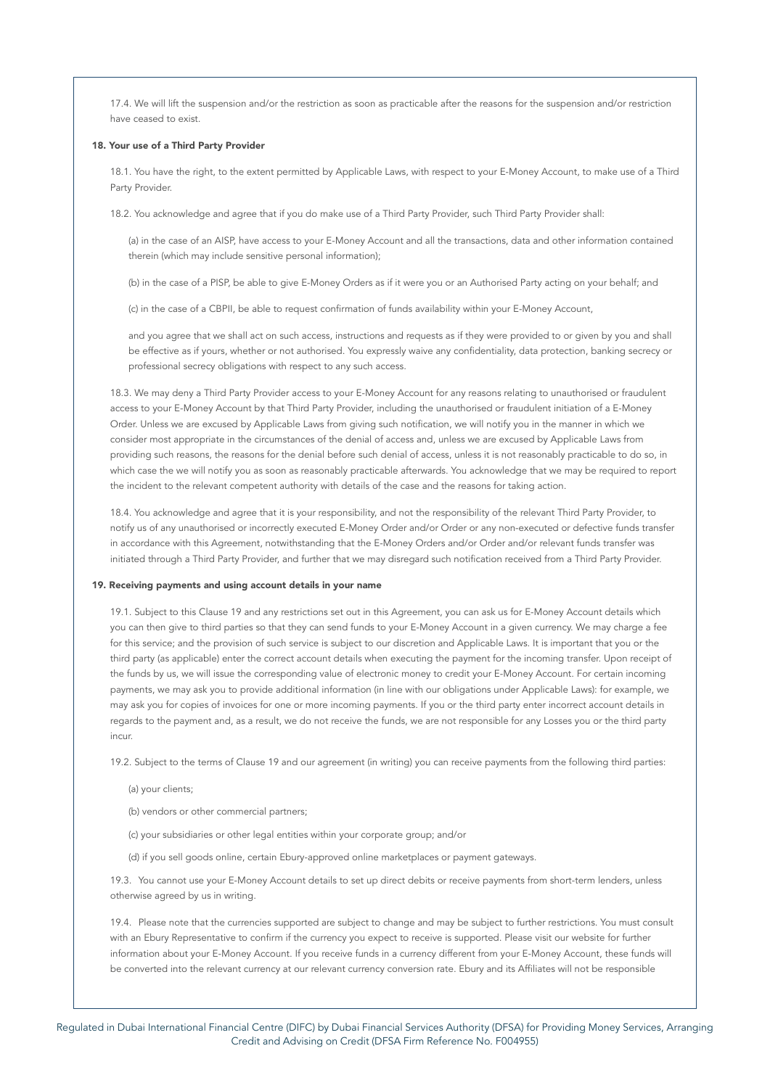17.4. We will lift the suspension and/or the restriction as soon as practicable after the reasons for the suspension and/or restriction have ceased to exist.

### 18. Your use of a Third Party Provider

18.1. You have the right, to the extent permitted by Applicable Laws, with respect to your E-Money Account, to make use of a Third Party Provider.

18.2. You acknowledge and agree that if you do make use of a Third Party Provider, such Third Party Provider shall:

(a) in the case of an AISP, have access to your E-Money Account and all the transactions, data and other information contained therein (which may include sensitive personal information);

(b) in the case of a PISP, be able to give E-Money Orders as if it were you or an Authorised Party acting on your behalf; and

(c) in the case of a CBPII, be able to request confirmation of funds availability within your E-Money Account,

and you agree that we shall act on such access, instructions and requests as if they were provided to or given by you and shall be effective as if yours, whether or not authorised. You expressly waive any confidentiality, data protection, banking secrecy or professional secrecy obligations with respect to any such access.

18.3. We may deny a Third Party Provider access to your E-Money Account for any reasons relating to unauthorised or fraudulent access to your E-Money Account by that Third Party Provider, including the unauthorised or fraudulent initiation of a E-Money Order. Unless we are excused by Applicable Laws from giving such notification, we will notify you in the manner in which we consider most appropriate in the circumstances of the denial of access and, unless we are excused by Applicable Laws from providing such reasons, the reasons for the denial before such denial of access, unless it is not reasonably practicable to do so, in which case the we will notify you as soon as reasonably practicable afterwards. You acknowledge that we may be required to report the incident to the relevant competent authority with details of the case and the reasons for taking action.

18.4. You acknowledge and agree that it is your responsibility, and not the responsibility of the relevant Third Party Provider, to notify us of any unauthorised or incorrectly executed E-Money Order and/or Order or any non-executed or defective funds transfer in accordance with this Agreement, notwithstanding that the E-Money Orders and/or Order and/or relevant funds transfer was initiated through a Third Party Provider, and further that we may disregard such notification received from a Third Party Provider.

### 19. Receiving payments and using account details in your name

19.1. Subject to this Clause 19 and any restrictions set out in this Agreement, you can ask us for E-Money Account details which you can then give to third parties so that they can send funds to your E-Money Account in a given currency. We may charge a fee for this service; and the provision of such service is subject to our discretion and Applicable Laws. It is important that you or the third party (as applicable) enter the correct account details when executing the payment for the incoming transfer. Upon receipt of the funds by us, we will issue the corresponding value of electronic money to credit your E-Money Account. For certain incoming payments, we may ask you to provide additional information (in line with our obligations under Applicable Laws): for example, we may ask you for copies of invoices for one or more incoming payments. If you or the third party enter incorrect account details in regards to the payment and, as a result, we do not receive the funds, we are not responsible for any Losses you or the third party incur.

19.2. Subject to the terms of Clause 19 and our agreement (in writing) you can receive payments from the following third parties:

(a) your clients;

(b) vendors or other commercial partners;

- (c) your subsidiaries or other legal entities within your corporate group; and/or
- (d) if you sell goods online, certain Ebury-approved online marketplaces or payment gateways.

19.3. You cannot use your E-Money Account details to set up direct debits or receive payments from short-term lenders, unless otherwise agreed by us in writing.

19.4. Please note that the currencies supported are subject to change and may be subject to further restrictions. You must consult with an Ebury Representative to confirm if the currency you expect to receive is supported. Please visit our website for further information about your E-Money Account. If you receive funds in a currency different from your E-Money Account, these funds will be converted into the relevant currency at our relevant currency conversion rate. Ebury and its Affiliates will not be responsible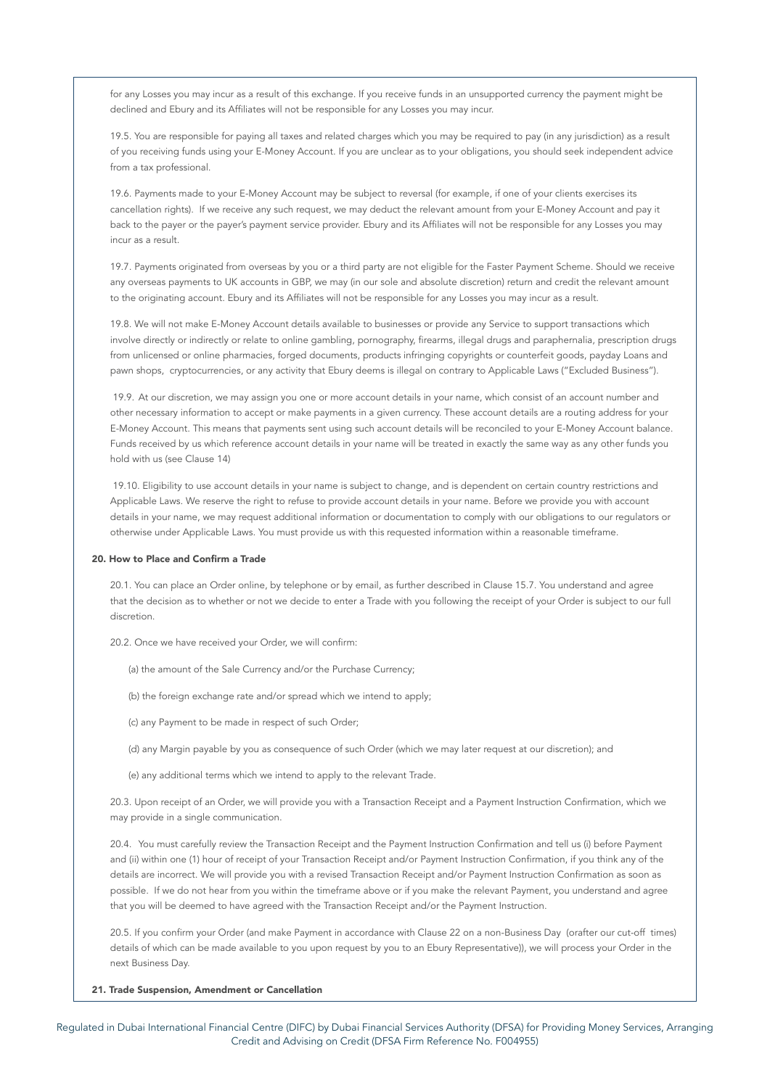for any Losses you may incur as a result of this exchange. If you receive funds in an unsupported currency the payment might be declined and Ebury and its Affiliates will not be responsible for any Losses you may incur.

19.5. You are responsible for paying all taxes and related charges which you may be required to pay (in any jurisdiction) as a result of you receiving funds using your E-Money Account. If you are unclear as to your obligations, you should seek independent advice from a tax professional.

19.6. Payments made to your E-Money Account may be subject to reversal (for example, if one of your clients exercises its cancellation rights). If we receive any such request, we may deduct the relevant amount from your E-Money Account and pay it back to the payer or the payer's payment service provider. Ebury and its Affiliates will not be responsible for any Losses you may incur as a result.

19.7. Payments originated from overseas by you or a third party are not eligible for the Faster Payment Scheme. Should we receive any overseas payments to UK accounts in GBP, we may (in our sole and absolute discretion) return and credit the relevant amount to the originating account. Ebury and its Affiliates will not be responsible for any Losses you may incur as a result.

19.8. We will not make E-Money Account details available to businesses or provide any Service to support transactions which involve directly or indirectly or relate to online gambling, pornography, firearms, illegal drugs and paraphernalia, prescription drugs from unlicensed or online pharmacies, forged documents, products infringing copyrights or counterfeit goods, payday Loans and pawn shops, cryptocurrencies, or any activity that Ebury deems is illegal on contrary to Applicable Laws ("Excluded Business").

 19.9. At our discretion, we may assign you one or more account details in your name, which consist of an account number and other necessary information to accept or make payments in a given currency. These account details are a routing address for your E-Money Account. This means that payments sent using such account details will be reconciled to your E-Money Account balance. Funds received by us which reference account details in your name will be treated in exactly the same way as any other funds you hold with us (see Clause 14)

 19.10. Eligibility to use account details in your name is subject to change, and is dependent on certain country restrictions and Applicable Laws. We reserve the right to refuse to provide account details in your name. Before we provide you with account details in your name, we may request additional information or documentation to comply with our obligations to our regulators or otherwise under Applicable Laws. You must provide us with this requested information within a reasonable timeframe.

# 20. How to Place and Confirm a Trade

20.1. You can place an Order online, by telephone or by email, as further described in Clause 15.7. You understand and agree that the decision as to whether or not we decide to enter a Trade with you following the receipt of your Order is subject to our full discretion.

20.2. Once we have received your Order, we will confirm:

(a) the amount of the Sale Currency and/or the Purchase Currency;

(b) the foreign exchange rate and/or spread which we intend to apply;

(c) any Payment to be made in respect of such Order;

(d) any Margin payable by you as consequence of such Order (which we may later request at our discretion); and

(e) any additional terms which we intend to apply to the relevant Trade.

20.3. Upon receipt of an Order, we will provide you with a Transaction Receipt and a Payment Instruction Confirmation, which we may provide in a single communication.

20.4. You must carefully review the Transaction Receipt and the Payment Instruction Confirmation and tell us (i) before Payment and (ii) within one (1) hour of receipt of your Transaction Receipt and/or Payment Instruction Confirmation, if you think any of the details are incorrect. We will provide you with a revised Transaction Receipt and/or Payment Instruction Confirmation as soon as possible. If we do not hear from you within the timeframe above or if you make the relevant Payment, you understand and agree that you will be deemed to have agreed with the Transaction Receipt and/or the Payment Instruction.

20.5. If you confirm your Order (and make Payment in accordance with Clause 22 on a non-Business Day (orafter our cut-off times) details of which can be made available to you upon request by you to an Ebury Representative)), we will process your Order in the next Business Day.

### 21. Trade Suspension, Amendment or Cancellation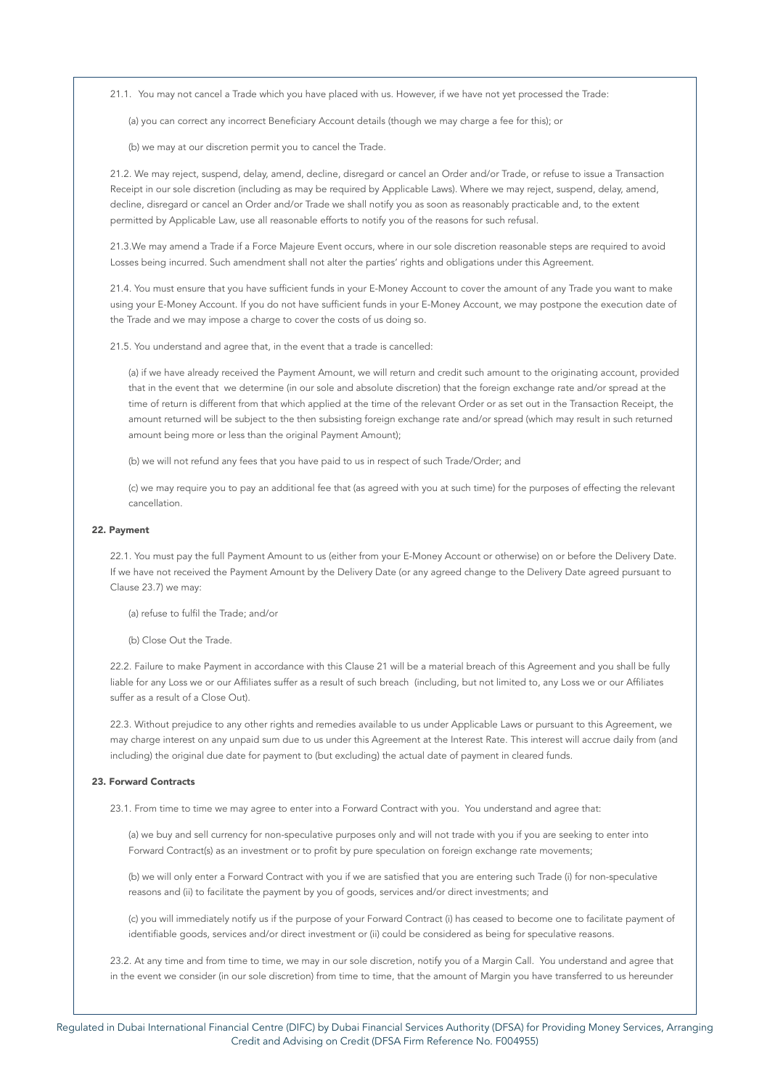21.1. You may not cancel a Trade which you have placed with us. However, if we have not yet processed the Trade:

(a) you can correct any incorrect Beneficiary Account details (though we may charge a fee for this); or

(b) we may at our discretion permit you to cancel the Trade.

21.2. We may reject, suspend, delay, amend, decline, disregard or cancel an Order and/or Trade, or refuse to issue a Transaction Receipt in our sole discretion (including as may be required by Applicable Laws). Where we may reject, suspend, delay, amend, decline, disregard or cancel an Order and/or Trade we shall notify you as soon as reasonably practicable and, to the extent permitted by Applicable Law, use all reasonable efforts to notify you of the reasons for such refusal.

21.3.We may amend a Trade if a Force Majeure Event occurs, where in our sole discretion reasonable steps are required to avoid Losses being incurred. Such amendment shall not alter the parties' rights and obligations under this Agreement.

21.4. You must ensure that you have sufficient funds in your E-Money Account to cover the amount of any Trade you want to make using your E-Money Account. If you do not have sufficient funds in your E-Money Account, we may postpone the execution date of the Trade and we may impose a charge to cover the costs of us doing so.

21.5. You understand and agree that, in the event that a trade is cancelled:

(a) if we have already received the Payment Amount, we will return and credit such amount to the originating account, provided that in the event that we determine (in our sole and absolute discretion) that the foreign exchange rate and/or spread at the time of return is different from that which applied at the time of the relevant Order or as set out in the Transaction Receipt, the amount returned will be subject to the then subsisting foreign exchange rate and/or spread (which may result in such returned amount being more or less than the original Payment Amount):

(b) we will not refund any fees that you have paid to us in respect of such Trade/Order; and

(c) we may require you to pay an additional fee that (as agreed with you at such time) for the purposes of effecting the relevant cancellation.

# 22. Payment

22.1. You must pay the full Payment Amount to us (either from your E-Money Account or otherwise) on or before the Delivery Date. If we have not received the Payment Amount by the Delivery Date (or any agreed change to the Delivery Date agreed pursuant to Clause 23.7) we may:

(a) refuse to fulfil the Trade; and/or

(b) Close Out the Trade.

22.2. Failure to make Payment in accordance with this Clause 21 will be a material breach of this Agreement and you shall be fully liable for any Loss we or our Affiliates suffer as a result of such breach (including, but not limited to, any Loss we or our Affiliates suffer as a result of a Close Out).

22.3. Without prejudice to any other rights and remedies available to us under Applicable Laws or pursuant to this Agreement, we may charge interest on any unpaid sum due to us under this Agreement at the Interest Rate. This interest will accrue daily from (and including) the original due date for payment to (but excluding) the actual date of payment in cleared funds.

# 23. Forward Contracts

23.1. From time to time we may agree to enter into a Forward Contract with you. You understand and agree that:

(a) we buy and sell currency for non-speculative purposes only and will not trade with you if you are seeking to enter into Forward Contract(s) as an investment or to profit by pure speculation on foreign exchange rate movements;

(b) we will only enter a Forward Contract with you if we are satisfied that you are entering such Trade (i) for non-speculative reasons and (ii) to facilitate the payment by you of goods, services and/or direct investments; and

(c) you will immediately notify us if the purpose of your Forward Contract (i) has ceased to become one to facilitate payment of identifiable goods, services and/or direct investment or (ii) could be considered as being for speculative reasons.

23.2. At any time and from time to time, we may in our sole discretion, notify you of a Margin Call. You understand and agree that in the event we consider (in our sole discretion) from time to time, that the amount of Margin you have transferred to us hereunder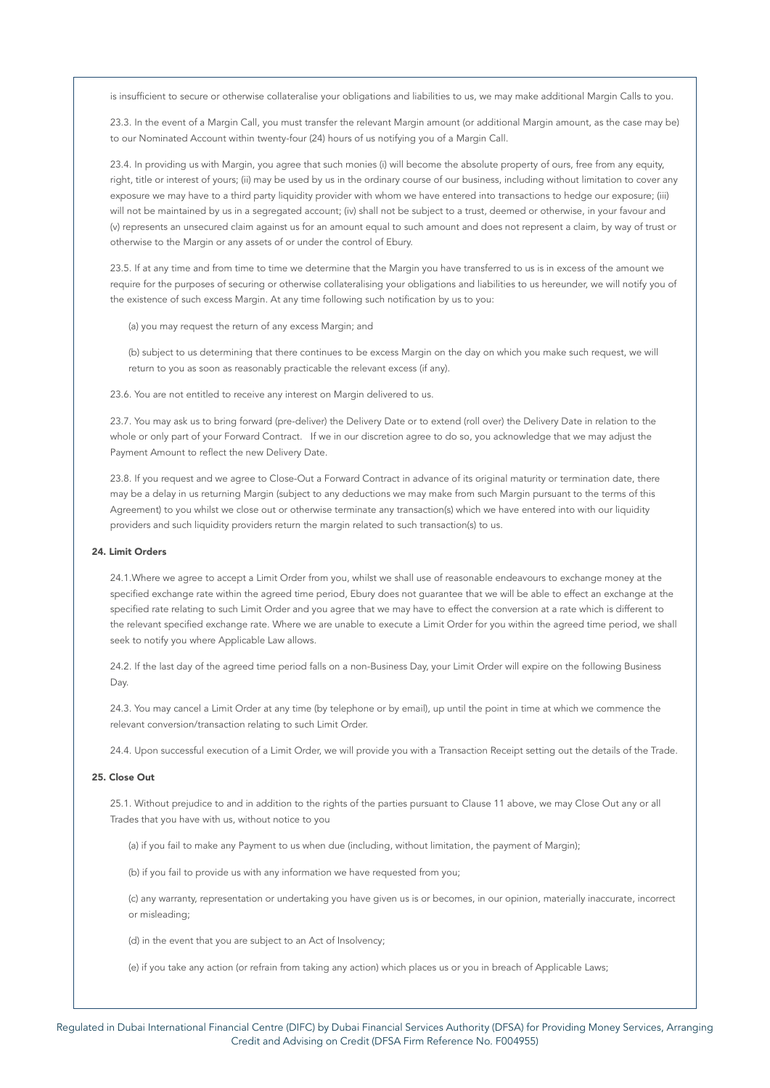is insufficient to secure or otherwise collateralise your obligations and liabilities to us, we may make additional Margin Calls to you.

23.3. In the event of a Margin Call, you must transfer the relevant Margin amount (or additional Margin amount, as the case may be) to our Nominated Account within twenty-four (24) hours of us notifying you of a Margin Call.

23.4. In providing us with Margin, you agree that such monies (i) will become the absolute property of ours, free from any equity, right, title or interest of yours; (ii) may be used by us in the ordinary course of our business, including without limitation to cover any exposure we may have to a third party liquidity provider with whom we have entered into transactions to hedge our exposure; (iii) will not be maintained by us in a segregated account; (iv) shall not be subject to a trust, deemed or otherwise, in your favour and (v) represents an unsecured claim against us for an amount equal to such amount and does not represent a claim, by way of trust or otherwise to the Margin or any assets of or under the control of Ebury.

23.5. If at any time and from time to time we determine that the Margin you have transferred to us is in excess of the amount we require for the purposes of securing or otherwise collateralising your obligations and liabilities to us hereunder, we will notify you of the existence of such excess Margin. At any time following such notification by us to you:

(a) you may request the return of any excess Margin; and

(b) subject to us determining that there continues to be excess Margin on the day on which you make such request, we will return to you as soon as reasonably practicable the relevant excess (if any).

23.6. You are not entitled to receive any interest on Margin delivered to us.

23.7. You may ask us to bring forward (pre-deliver) the Delivery Date or to extend (roll over) the Delivery Date in relation to the whole or only part of your Forward Contract. If we in our discretion agree to do so, you acknowledge that we may adjust the Payment Amount to reflect the new Delivery Date.

23.8. If you request and we agree to Close-Out a Forward Contract in advance of its original maturity or termination date, there may be a delay in us returning Margin (subject to any deductions we may make from such Margin pursuant to the terms of this Agreement) to you whilst we close out or otherwise terminate any transaction(s) which we have entered into with our liquidity providers and such liquidity providers return the margin related to such transaction(s) to us.

### 24. Limit Orders

24.1.Where we agree to accept a Limit Order from you, whilst we shall use of reasonable endeavours to exchange money at the specified exchange rate within the agreed time period, Ebury does not guarantee that we will be able to effect an exchange at the specified rate relating to such Limit Order and you agree that we may have to effect the conversion at a rate which is different to the relevant specified exchange rate. Where we are unable to execute a Limit Order for you within the agreed time period, we shall seek to notify you where Applicable Law allows.

24.2. If the last day of the agreed time period falls on a non-Business Day, your Limit Order will expire on the following Business Day.

24.3. You may cancel a Limit Order at any time (by telephone or by email), up until the point in time at which we commence the relevant conversion/transaction relating to such Limit Order.

24.4. Upon successful execution of a Limit Order, we will provide you with a Transaction Receipt setting out the details of the Trade.

# 25. Close Out

25.1. Without prejudice to and in addition to the rights of the parties pursuant to Clause 11 above, we may Close Out any or all Trades that you have with us, without notice to you

(a) if you fail to make any Payment to us when due (including, without limitation, the payment of Margin);

(b) if you fail to provide us with any information we have requested from you;

(c) any warranty, representation or undertaking you have given us is or becomes, in our opinion, materially inaccurate, incorrect or misleading;

(d) in the event that you are subject to an Act of Insolvency;

(e) if you take any action (or refrain from taking any action) which places us or you in breach of Applicable Laws;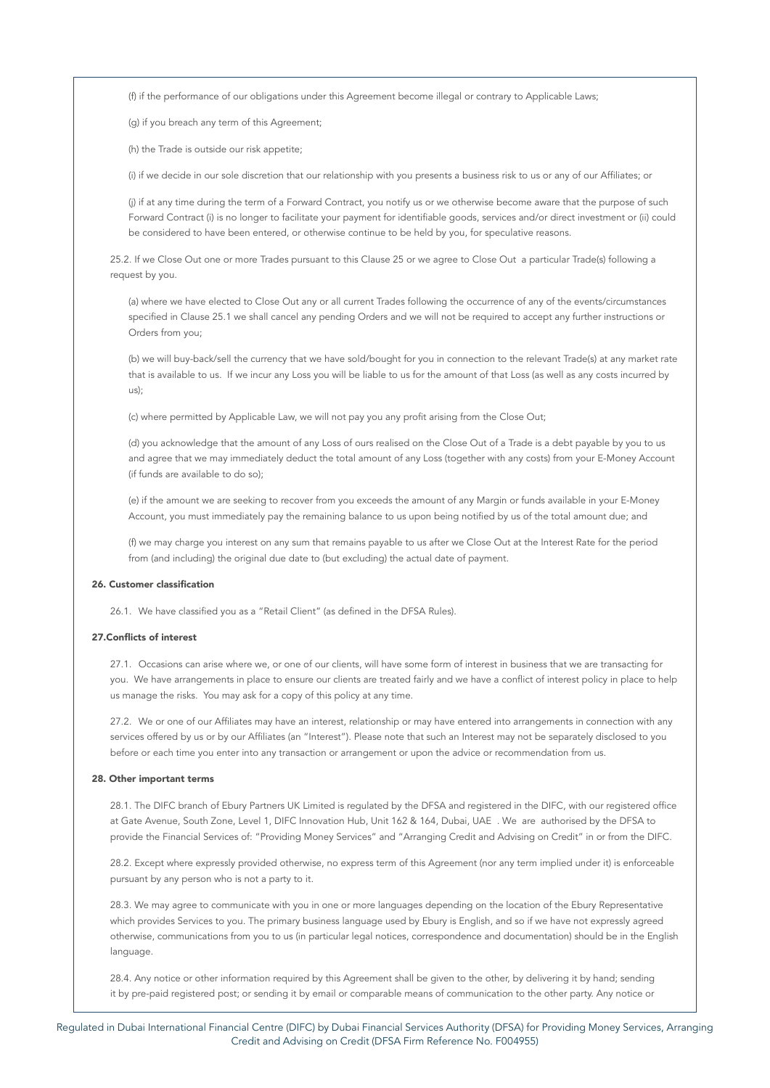(f) if the performance of our obligations under this Agreement become illegal or contrary to Applicable Laws;

(g) if you breach any term of this Agreement;

(h) the Trade is outside our risk appetite;

(i) if we decide in our sole discretion that our relationship with you presents a business risk to us or any of our Affiliates; or

(j) if at any time during the term of a Forward Contract, you notify us or we otherwise become aware that the purpose of such Forward Contract (i) is no longer to facilitate your payment for identifiable goods, services and/or direct investment or (ii) could be considered to have been entered, or otherwise continue to be held by you, for speculative reasons.

25.2. If we Close Out one or more Trades pursuant to this Clause 25 or we agree to Close Out a particular Trade(s) following a request by you.

(a) where we have elected to Close Out any or all current Trades following the occurrence of any of the events/circumstances specified in Clause 25.1 we shall cancel any pending Orders and we will not be required to accept any further instructions or Orders from you;

(b) we will buy-back/sell the currency that we have sold/bought for you in connection to the relevant Trade(s) at any market rate that is available to us. If we incur any Loss you will be liable to us for the amount of that Loss (as well as any costs incurred by us);

(c) where permitted by Applicable Law, we will not pay you any profit arising from the Close Out;

(d) you acknowledge that the amount of any Loss of ours realised on the Close Out of a Trade is a debt payable by you to us and agree that we may immediately deduct the total amount of any Loss (together with any costs) from your E-Money Account (if funds are available to do so);

(e) if the amount we are seeking to recover from you exceeds the amount of any Margin or funds available in your E-Money Account, you must immediately pay the remaining balance to us upon being notified by us of the total amount due; and

(f) we may charge you interest on any sum that remains payable to us after we Close Out at the Interest Rate for the period from (and including) the original due date to (but excluding) the actual date of payment.

# 26. Customer classification

26.1. We have classified you as a "Retail Client" (as defined in the DFSA Rules).

# 27.Conflicts of interest

27.1. Occasions can arise where we, or one of our clients, will have some form of interest in business that we are transacting for you. We have arrangements in place to ensure our clients are treated fairly and we have a conflict of interest policy in place to help us manage the risks. You may ask for a copy of this policy at any time.

27.2. We or one of our Affiliates may have an interest, relationship or may have entered into arrangements in connection with any services offered by us or by our Affiliates (an "Interest"). Please note that such an Interest may not be separately disclosed to you before or each time you enter into any transaction or arrangement or upon the advice or recommendation from us.

### 28. Other important terms

28.1. The DIFC branch of Ebury Partners UK Limited is regulated by the DFSA and registered in the DIFC, with our registered office at Gate Avenue, South Zone, Level 1, DIFC Innovation Hub, Unit 162 & 164, Dubai, UAE . We are authorised by the DFSA to provide the Financial Services of: "Providing Money Services" and "Arranging Credit and Advising on Credit" in or from the DIFC.

28.2. Except where expressly provided otherwise, no express term of this Agreement (nor any term implied under it) is enforceable pursuant by any person who is not a party to it.

28.3. We may agree to communicate with you in one or more languages depending on the location of the Ebury Representative which provides Services to you. The primary business language used by Ebury is English, and so if we have not expressly agreed otherwise, communications from you to us (in particular legal notices, correspondence and documentation) should be in the English language.

28.4. Any notice or other information required by this Agreement shall be given to the other, by delivering it by hand; sending it by pre-paid registered post; or sending it by email or comparable means of communication to the other party. Any notice or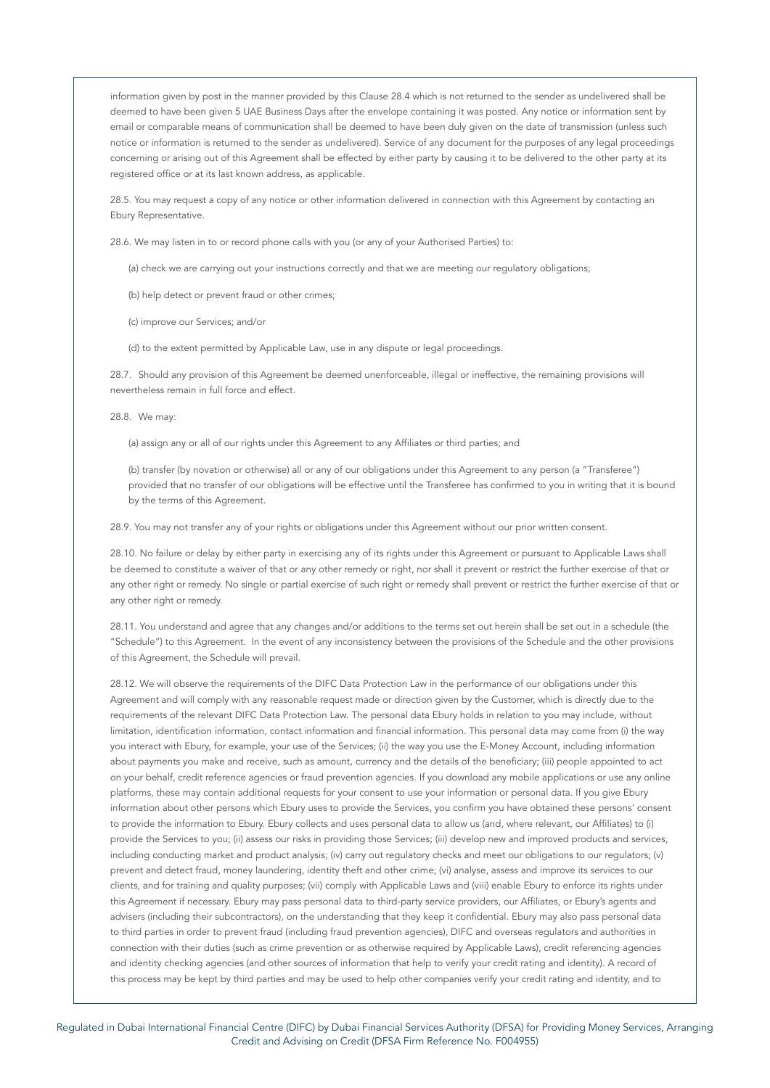information given by post in the manner provided by this Clause 28.4 which is not returned to the sender as undelivered shall be deemed to have been given 5 UAE Business Days after the envelope containing it was posted. Any notice or information sent by email or comparable means of communication shall be deemed to have been duly given on the date of transmission (unless such notice or information is returned to the sender as undelivered). Service of any document for the purposes of any legal proceedings concerning or arising out of this Agreement shall be effected by either party by causing it to be delivered to the other party at its registered office or at its last known address, as applicable.

28.5. You may request a copy of any notice or other information delivered in connection with this Agreement by contacting an Ebury Representative.

28.6. We may listen in to or record phone calls with you (or any of your Authorised Parties) to:

(a) check we are carrying out your instructions correctly and that we are meeting our regulatory obligations;

(b) help detect or prevent fraud or other crimes;

(c) improve our Services; and/or

(d) to the extent permitted by Applicable Law, use in any dispute or legal proceedings.

28.7. Should any provision of this Agreement be deemed unenforceable, illegal or ineffective, the remaining provisions will nevertheless remain in full force and effect.

28.8. We may:

(a) assign any or all of our rights under this Agreement to any Affiliates or third parties; and

(b) transfer (by novation or otherwise) all or any of our obligations under this Agreement to any person (a "Transferee") provided that no transfer of our obligations will be effective until the Transferee has confirmed to you in writing that it is bound by the terms of this Agreement.

28.9. You may not transfer any of your rights or obligations under this Agreement without our prior written consent.

28.10. No failure or delay by either party in exercising any of its rights under this Agreement or pursuant to Applicable Laws shall be deemed to constitute a waiver of that or any other remedy or right, nor shall it prevent or restrict the further exercise of that or any other right or remedy. No single or partial exercise of such right or remedy shall prevent or restrict the further exercise of that or any other right or remedy.

28.11. You understand and agree that any changes and/or additions to the terms set out herein shall be set out in a schedule (the "Schedule") to this Agreement. In the event of any inconsistency between the provisions of the Schedule and the other provisions of this Agreement, the Schedule will prevail.

28.12. We will observe the requirements of the DIFC Data Protection Law in the performance of our obligations under this Agreement and will comply with any reasonable request made or direction given by the Customer, which is directly due to the requirements of the relevant DIFC Data Protection Law. The personal data Ebury holds in relation to you may include, without limitation, identification information, contact information and financial information. This personal data may come from (i) the way you interact with Ebury, for example, your use of the Services; (ii) the way you use the E-Money Account, including information about payments you make and receive, such as amount, currency and the details of the beneficiary; (iii) people appointed to act on your behalf, credit reference agencies or fraud prevention agencies. If you download any mobile applications or use any online platforms, these may contain additional requests for your consent to use your information or personal data. If you give Ebury information about other persons which Ebury uses to provide the Services, you confirm you have obtained these persons' consent to provide the information to Ebury. Ebury collects and uses personal data to allow us (and, where relevant, our Affiliates) to (i) provide the Services to you; (ii) assess our risks in providing those Services; (iii) develop new and improved products and services, including conducting market and product analysis; (iv) carry out regulatory checks and meet our obligations to our regulators; (v) prevent and detect fraud, money laundering, identity theft and other crime; (vi) analyse, assess and improve its services to our clients, and for training and quality purposes; (vii) comply with Applicable Laws and (viii) enable Ebury to enforce its rights under this Agreement if necessary. Ebury may pass personal data to third-party service providers, our Affiliates, or Ebury's agents and advisers (including their subcontractors), on the understanding that they keep it confidential. Ebury may also pass personal data to third parties in order to prevent fraud (including fraud prevention agencies), DIFC and overseas regulators and authorities in connection with their duties (such as crime prevention or as otherwise required by Applicable Laws), credit referencing agencies and identity checking agencies (and other sources of information that help to verify your credit rating and identity). A record of this process may be kept by third parties and may be used to help other companies verify your credit rating and identity, and to